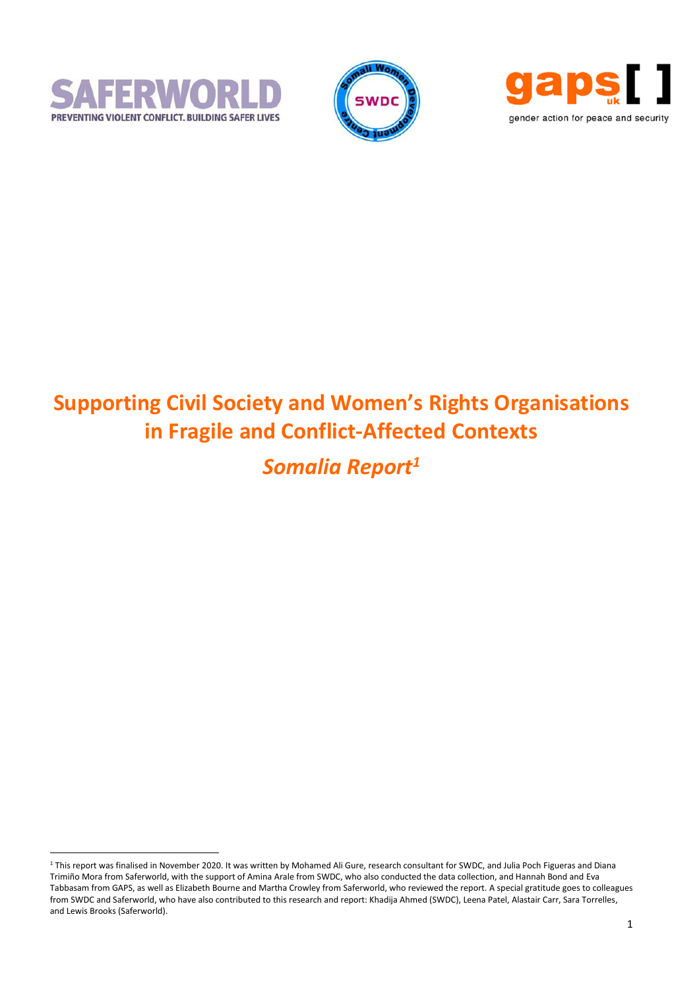

 $\overline{a}$ 





# **Supporting Civil Society and Women's Rights Organisations in Fragile and Conflict-Affected Contexts**

*Somalia Report<sup>1</sup>*

<sup>1</sup> This report was finalised in November 2020. It was written by Mohamed Ali Gure, research consultant for SWDC, and Julia Poch Figueras and Diana Trimiño Mora from Saferworld, with the support of Amina Arale from SWDC, who also conducted the data collection, and Hannah Bond and Eva Tabbasam from GAPS, as well as Elizabeth Bourne and Martha Crowley from Saferworld, who reviewed the report. A special gratitude goes to colleagues from SWDC and Saferworld, who have also contributed to this research and report: Khadija Ahmed (SWDC), Leena Patel, Alastair Carr, Sara Torrelles, and Lewis Brooks (Saferworld).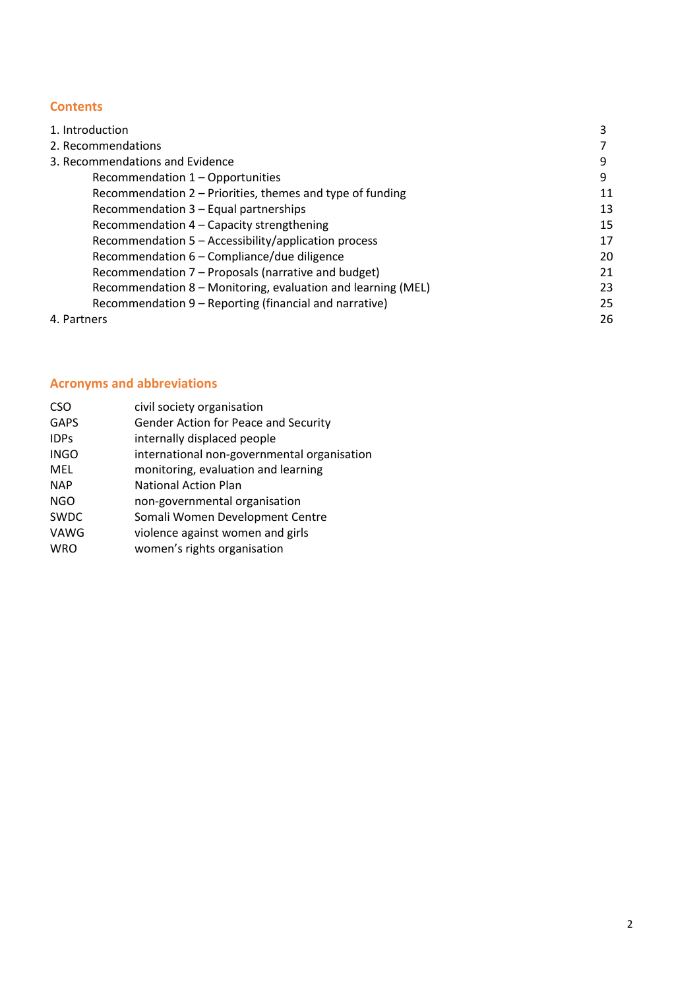# **Contents**

| 1. Introduction                                              |    |
|--------------------------------------------------------------|----|
| 2. Recommendations                                           |    |
| 3. Recommendations and Evidence                              | q  |
| Recommendation 1 - Opportunities                             | 9  |
| Recommendation 2 – Priorities, themes and type of funding    | 11 |
| Recommendation 3 - Equal partnerships                        | 13 |
| Recommendation 4 – Capacity strengthening                    | 15 |
| Recommendation 5 - Accessibility/application process         | 17 |
| Recommendation 6 - Compliance/due diligence                  | 20 |
| Recommendation 7 – Proposals (narrative and budget)          | 21 |
| Recommendation 8 - Monitoring, evaluation and learning (MEL) | 23 |
| Recommendation 9 – Reporting (financial and narrative)       | 25 |
| 4. Partners                                                  | 26 |

# **Acronyms and abbreviations**

| <b>CSO</b>  | civil society organisation                  |
|-------------|---------------------------------------------|
| <b>GAPS</b> | Gender Action for Peace and Security        |
| <b>IDPs</b> | internally displaced people                 |
| <b>INGO</b> | international non-governmental organisation |
| MEL         | monitoring, evaluation and learning         |
| <b>NAP</b>  | <b>National Action Plan</b>                 |
| <b>NGO</b>  | non-governmental organisation               |
| SWDC        | Somali Women Development Centre             |
| VAWG        | violence against women and girls            |
| <b>WRO</b>  | women's rights organisation                 |
|             |                                             |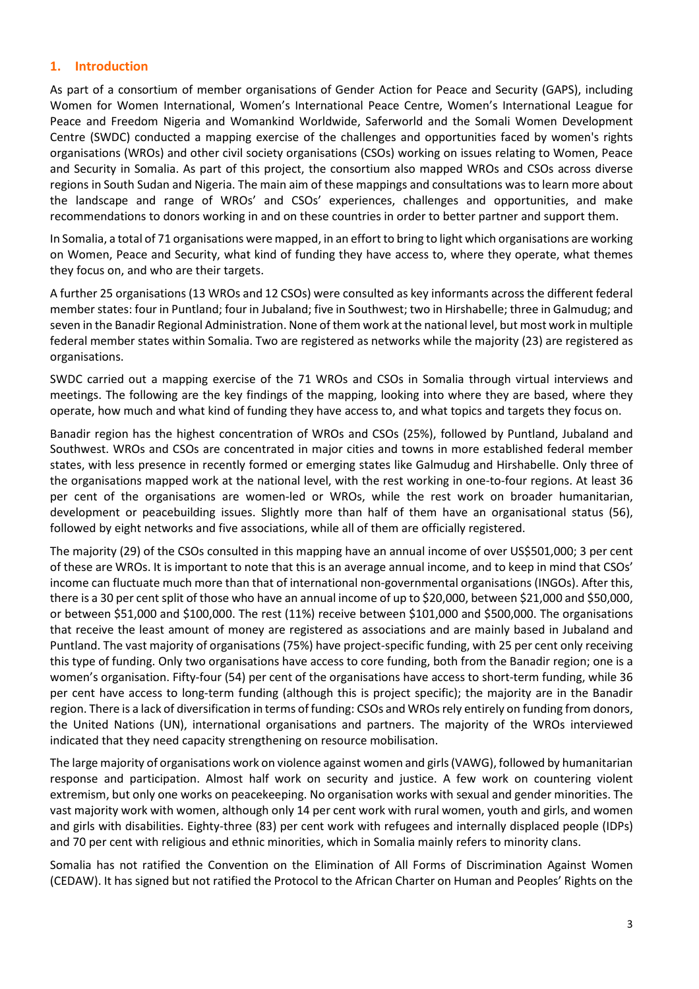# **1. Introduction**

As part of a consortium of member organisations of Gender Action for Peace and Security (GAPS), including Women for Women International, Women's International Peace Centre, Women's International League for Peace and Freedom Nigeria and Womankind Worldwide, Saferworld and the Somali Women Development Centre (SWDC) conducted a mapping exercise of the challenges and opportunities faced by women's rights organisations (WROs) and other civil society organisations (CSOs) working on issues relating to Women, Peace and Security in Somalia. As part of this project, the consortium also mapped WROs and CSOs across diverse regions in South Sudan and Nigeria. The main aim of these mappings and consultations was to learn more about the landscape and range of WROs' and CSOs' experiences, challenges and opportunities, and make recommendations to donors working in and on these countries in order to better partner and support them.

In Somalia, a total of 71 organisations were mapped, in an effort to bring to light which organisations are working on Women, Peace and Security, what kind of funding they have access to, where they operate, what themes they focus on, and who are their targets.

A further 25 organisations(13 WROs and 12 CSOs) were consulted as key informants across the different federal member states: four in Puntland; four in Jubaland; five in Southwest; two in Hirshabelle; three in Galmudug; and seven in the Banadir Regional Administration. None of them work atthe national level, but most work in multiple federal member states within Somalia. Two are registered as networks while the majority (23) are registered as organisations.

SWDC carried out a mapping exercise of the 71 WROs and CSOs in Somalia through virtual interviews and meetings. The following are the key findings of the mapping, looking into where they are based, where they operate, how much and what kind of funding they have access to, and what topics and targets they focus on.

Banadir region has the highest concentration of WROs and CSOs (25%), followed by Puntland, Jubaland and Southwest. WROs and CSOs are concentrated in major cities and towns in more established federal member states, with less presence in recently formed or emerging states like Galmudug and Hirshabelle. Only three of the organisations mapped work at the national level, with the rest working in one-to-four regions. At least 36 per cent of the organisations are women-led or WROs, while the rest work on broader humanitarian, development or peacebuilding issues. Slightly more than half of them have an organisational status (56), followed by eight networks and five associations, while all of them are officially registered.

The majority (29) of the CSOs consulted in this mapping have an annual income of over US\$501,000; 3 per cent of these are WROs. It is important to note that this is an average annual income, and to keep in mind that CSOs' income can fluctuate much more than that of international non-governmental organisations (INGOs). After this, there is a 30 per cent split of those who have an annual income of up to \$20,000, between \$21,000 and \$50,000, or between \$51,000 and \$100,000. The rest (11%) receive between \$101,000 and \$500,000. The organisations that receive the least amount of money are registered as associations and are mainly based in Jubaland and Puntland. The vast majority of organisations (75%) have project-specific funding, with 25 per cent only receiving this type of funding. Only two organisations have access to core funding, both from the Banadir region; one is a women's organisation. Fifty-four (54) per cent of the organisations have access to short-term funding, while 36 per cent have access to long-term funding (although this is project specific); the majority are in the Banadir region. There is a lack of diversification in terms of funding: CSOs and WROs rely entirely on funding from donors, the United Nations (UN), international organisations and partners. The majority of the WROs interviewed indicated that they need capacity strengthening on resource mobilisation.

The large majority of organisations work on violence against women and girls(VAWG), followed by humanitarian response and participation. Almost half work on security and justice. A few work on countering violent extremism, but only one works on peacekeeping. No organisation works with sexual and gender minorities. The vast majority work with women, although only 14 per cent work with rural women, youth and girls, and women and girls with disabilities. Eighty-three (83) per cent work with refugees and internally displaced people (IDPs) and 70 per cent with religious and ethnic minorities, which in Somalia mainly refers to minority clans.

Somalia has not ratified the Convention on the Elimination of All Forms of Discrimination Against Women (CEDAW). It has signed but not ratified the Protocol to the African Charter on Human and Peoples' Rights on the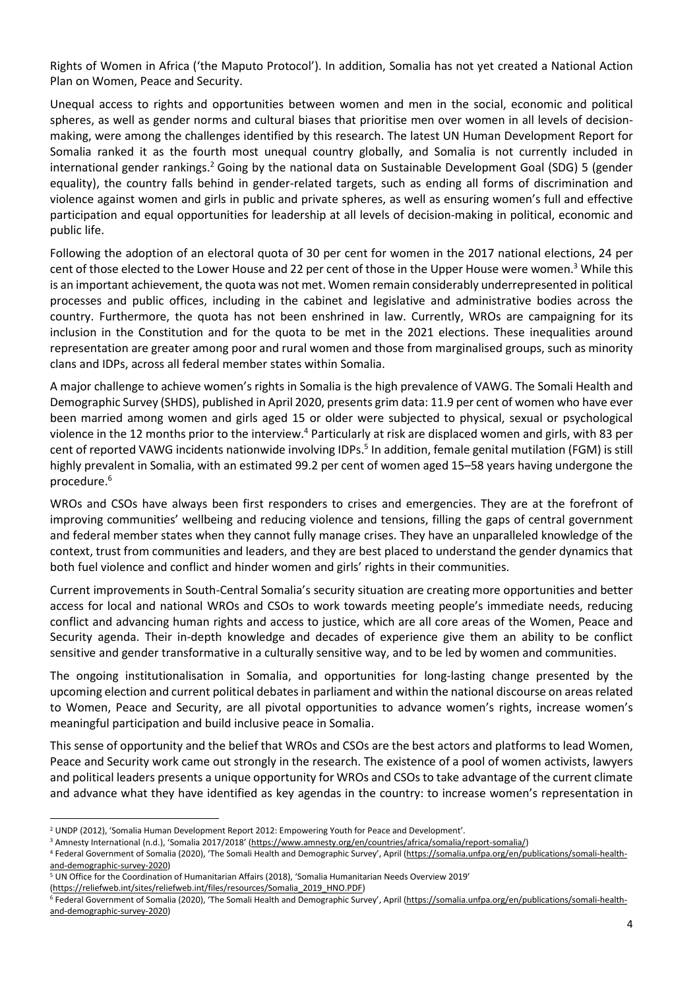Rights of Women in Africa ('the Maputo Protocol'). In addition, Somalia has not yet created a National Action Plan on Women, Peace and Security.

Unequal access to rights and opportunities between women and men in the social, economic and political spheres, as well as gender norms and cultural biases that prioritise men over women in all levels of decisionmaking, were among the challenges identified by this research. The latest UN Human Development Report for Somalia ranked it as the fourth most unequal country globally, and Somalia is not currently included in international gender rankings.<sup>2</sup> Going by the national data on Sustainable Development Goal (SDG) 5 (gender equality), the country falls behind in gender-related targets, such as ending all forms of discrimination and violence against women and girls in public and private spheres, as well as ensuring women's full and effective participation and equal opportunities for leadership at all levels of decision-making in political, economic and public life.

Following the adoption of an electoral quota of 30 per cent for women in the 2017 national elections, 24 per cent of those elected to the Lower House and 22 per cent of those in the Upper House were women.<sup>3</sup> While this is an important achievement, the quota was not met. Women remain considerably underrepresented in political processes and public offices, including in the cabinet and legislative and administrative bodies across the country. Furthermore, the quota has not been enshrined in law. Currently, WROs are campaigning for its inclusion in the Constitution and for the quota to be met in the 2021 elections. These inequalities around representation are greater among poor and rural women and those from marginalised groups, such as minority clans and IDPs, across all federal member states within Somalia.

A major challenge to achieve women's rights in Somalia is the high prevalence of VAWG. The Somali Health and Demographic Survey (SHDS), published in April 2020, presents grim data: 11.9 per cent of women who have ever been married among women and girls aged 15 or older were subjected to physical, sexual or psychological violence in the 12 months prior to the interview.<sup>4</sup> Particularly at risk are displaced women and girls, with 83 per cent of reported VAWG incidents nationwide involving IDPs.<sup>5</sup> In addition, female genital mutilation (FGM) is still highly prevalent in Somalia, with an estimated 99.2 per cent of women aged 15–58 years having undergone the procedure.<sup>6</sup>

WROs and CSOs have always been first responders to crises and emergencies. They are at the forefront of improving communities' wellbeing and reducing violence and tensions, filling the gaps of central government and federal member states when they cannot fully manage crises. They have an unparalleled knowledge of the context, trust from communities and leaders, and they are best placed to understand the gender dynamics that both fuel violence and conflict and hinder women and girls' rights in their communities.

Current improvements in South-Central Somalia's security situation are creating more opportunities and better access for local and national WROs and CSOs to work towards meeting people's immediate needs, reducing conflict and advancing human rights and access to justice, which are all core areas of the Women, Peace and Security agenda. Their in-depth knowledge and decades of experience give them an ability to be conflict sensitive and gender transformative in a culturally sensitive way, and to be led by women and communities.

The ongoing institutionalisation in Somalia, and opportunities for long-lasting change presented by the upcoming election and current political debatesin parliament and within the national discourse on areasrelated to Women, Peace and Security, are all pivotal opportunities to advance women's rights, increase women's meaningful participation and build inclusive peace in Somalia.

This sense of opportunity and the belief that WROs and CSOs are the best actors and platforms to lead Women, Peace and Security work came out strongly in the research. The existence of a pool of women activists, lawyers and political leaders presents a unique opportunity for WROs and CSOsto take advantage of the current climate and advance what they have identified as key agendas in the country: to increase women's representation in

 $\overline{a}$ 

<sup>&</sup>lt;sup>2</sup> UNDP (2012), 'Somalia Human Development Report 2012: Empowering Youth for Peace and Development'.

<sup>&</sup>lt;sup>3</sup> Amnesty International (n.d.), 'Somalia 2017/2018' ([https://www.amnesty.org/en/countries/africa/somalia/report-somalia/\)](https://www.amnesty.org/en/countries/africa/somalia/report-somalia/)

<sup>4</sup> Federal Government of Somalia (2020), 'The Somali Health and Demographic Survey', April ([https://somalia.unfpa.org/en/publications/somali-health](https://somalia.unfpa.org/en/publications/somali-health-and-demographic-survey-2020)[and-demographic-survey-2020\)](https://somalia.unfpa.org/en/publications/somali-health-and-demographic-survey-2020)

<sup>5</sup> UN Office for the Coordination of Humanitarian Affairs (2018), 'Somalia Humanitarian Needs Overview 2019'

[<sup>\(</sup>https://reliefweb.int/sites/reliefweb.int/files/resources/Somalia\\_2019\\_HNO.PDF\)](https://reliefweb.int/sites/reliefweb.int/files/resources/Somalia_2019_HNO.PDF)

<sup>&</sup>lt;sup>6</sup> Federal Government of Somalia (2020), 'The Somali Health and Demographic Survey', April ([https://somalia.unfpa.org/en/publications/somali-health](https://somalia.unfpa.org/en/publications/somali-health-and-demographic-survey-2020)[and-demographic-survey-2020\)](https://somalia.unfpa.org/en/publications/somali-health-and-demographic-survey-2020)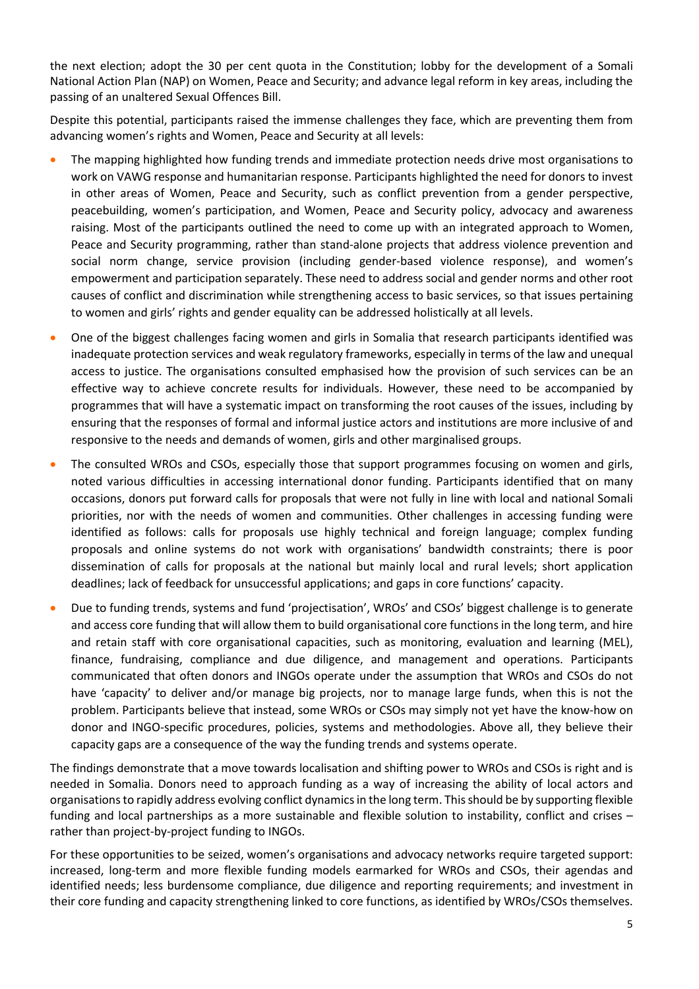the next election; adopt the 30 per cent quota in the Constitution; lobby for the development of a Somali National Action Plan (NAP) on Women, Peace and Security; and advance legal reform in key areas, including the passing of an unaltered Sexual Offences Bill.

Despite this potential, participants raised the immense challenges they face, which are preventing them from advancing women's rights and Women, Peace and Security at all levels:

- The mapping highlighted how funding trends and immediate protection needs drive most organisations to work on VAWG response and humanitarian response. Participants highlighted the need for donors to invest in other areas of Women, Peace and Security, such as conflict prevention from a gender perspective, peacebuilding, women's participation, and Women, Peace and Security policy, advocacy and awareness raising. Most of the participants outlined the need to come up with an integrated approach to Women, Peace and Security programming, rather than stand-alone projects that address violence prevention and social norm change, service provision (including gender-based violence response), and women's empowerment and participation separately. These need to address social and gender norms and other root causes of conflict and discrimination while strengthening access to basic services, so that issues pertaining to women and girls' rights and gender equality can be addressed holistically at all levels.
- One of the biggest challenges facing women and girls in Somalia that research participants identified was inadequate protection services and weak regulatory frameworks, especially in terms of the law and unequal access to justice. The organisations consulted emphasised how the provision of such services can be an effective way to achieve concrete results for individuals. However, these need to be accompanied by programmes that will have a systematic impact on transforming the root causes of the issues, including by ensuring that the responses of formal and informal justice actors and institutions are more inclusive of and responsive to the needs and demands of women, girls and other marginalised groups.
- The consulted WROs and CSOs, especially those that support programmes focusing on women and girls, noted various difficulties in accessing international donor funding. Participants identified that on many occasions, donors put forward calls for proposals that were not fully in line with local and national Somali priorities, nor with the needs of women and communities. Other challenges in accessing funding were identified as follows: calls for proposals use highly technical and foreign language; complex funding proposals and online systems do not work with organisations' bandwidth constraints; there is poor dissemination of calls for proposals at the national but mainly local and rural levels; short application deadlines; lack of feedback for unsuccessful applications; and gaps in core functions' capacity.
- Due to funding trends, systems and fund 'projectisation', WROs' and CSOs' biggest challenge is to generate and access core funding that will allow them to build organisational core functionsin the long term, and hire and retain staff with core organisational capacities, such as monitoring, evaluation and learning (MEL), finance, fundraising, compliance and due diligence, and management and operations. Participants communicated that often donors and INGOs operate under the assumption that WROs and CSOs do not have 'capacity' to deliver and/or manage big projects, nor to manage large funds, when this is not the problem. Participants believe that instead, some WROs or CSOs may simply not yet have the know-how on donor and INGO-specific procedures, policies, systems and methodologies. Above all, they believe their capacity gaps are a consequence of the way the funding trends and systems operate.

The findings demonstrate that a move towards localisation and shifting power to WROs and CSOs is right and is needed in Somalia. Donors need to approach funding as a way of increasing the ability of local actors and organisationsto rapidly address evolving conflict dynamicsin the long term. Thisshould be by supporting flexible funding and local partnerships as a more sustainable and flexible solution to instability, conflict and crises – rather than project-by-project funding to INGOs.

For these opportunities to be seized, women's organisations and advocacy networks require targeted support: increased, long-term and more flexible funding models earmarked for WROs and CSOs, their agendas and identified needs; less burdensome compliance, due diligence and reporting requirements; and investment in their core funding and capacity strengthening linked to core functions, as identified by WROs/CSOs themselves.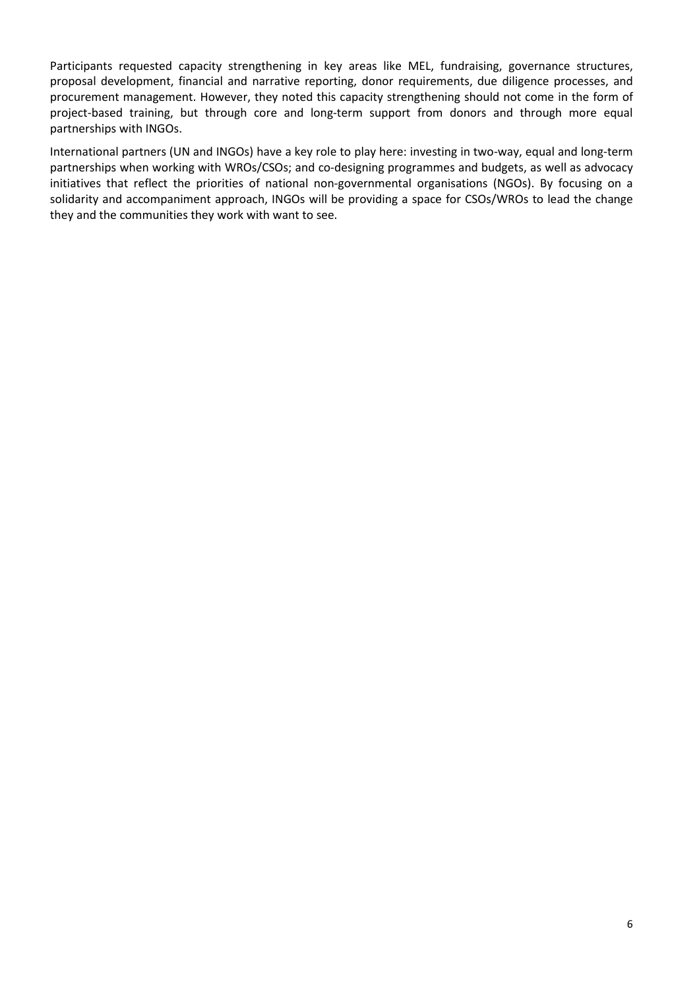Participants requested capacity strengthening in key areas like MEL, fundraising, governance structures, proposal development, financial and narrative reporting, donor requirements, due diligence processes, and procurement management. However, they noted this capacity strengthening should not come in the form of project-based training, but through core and long-term support from donors and through more equal partnerships with INGOs.

International partners (UN and INGOs) have a key role to play here: investing in two-way, equal and long-term partnerships when working with WROs/CSOs; and co-designing programmes and budgets, as well as advocacy initiatives that reflect the priorities of national non-governmental organisations (NGOs). By focusing on a solidarity and accompaniment approach, INGOs will be providing a space for CSOs/WROs to lead the change they and the communities they work with want to see.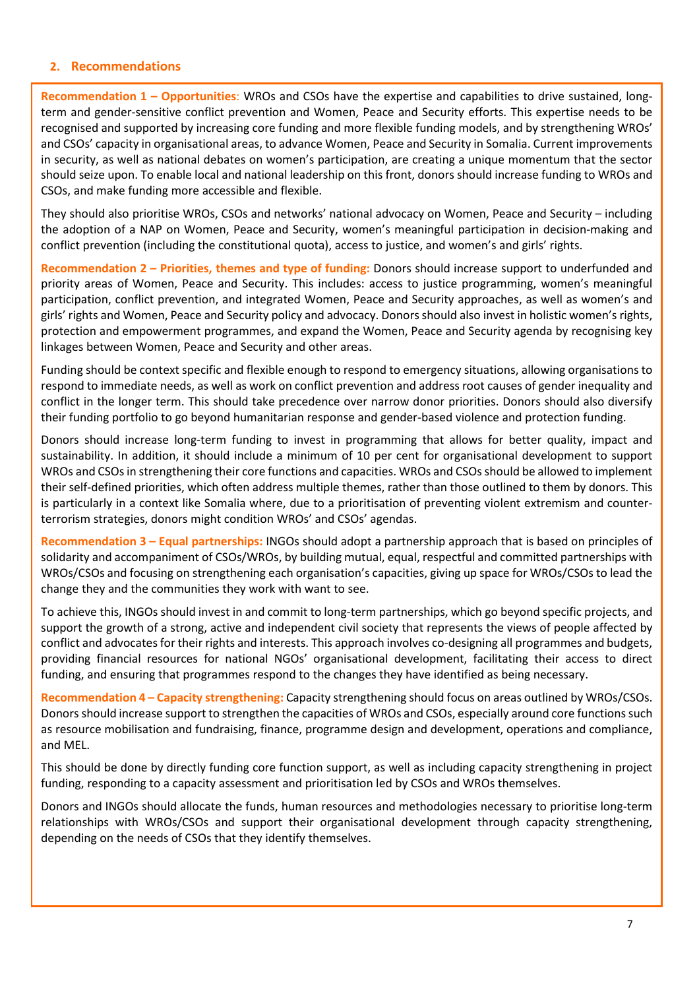#### **2. Recommendations**

**Recommendation 1 – Opportunities**: WROs and CSOs have the expertise and capabilities to drive sustained, longterm and gender-sensitive conflict prevention and Women, Peace and Security efforts. This expertise needs to be recognised and supported by increasing core funding and more flexible funding models, and by strengthening WROs' and CSOs' capacity in organisational areas, to advance Women, Peace and Security in Somalia. Current improvements in security, as well as national debates on women's participation, are creating a unique momentum that the sector should seize upon. To enable local and national leadership on this front, donors should increase funding to WROs and CSOs, and make funding more accessible and flexible.

They should also prioritise WROs, CSOs and networks' national advocacy on Women, Peace and Security – including the adoption of a NAP on Women, Peace and Security, women's meaningful participation in decision-making and conflict prevention (including the constitutional quota), access to justice, and women's and girls' rights.

**Recommendation 2 – Priorities, themes and type of funding:** Donors should increase support to underfunded and priority areas of Women, Peace and Security. This includes: access to justice programming, women's meaningful participation, conflict prevention, and integrated Women, Peace and Security approaches, as well as women's and girls' rights and Women, Peace and Security policy and advocacy. Donorsshould also invest in holistic women's rights, protection and empowerment programmes, and expand the Women, Peace and Security agenda by recognising key linkages between Women, Peace and Security and other areas.

Funding should be context specific and flexible enough to respond to emergency situations, allowing organisations to respond to immediate needs, as well as work on conflict prevention and address root causes of gender inequality and conflict in the longer term. This should take precedence over narrow donor priorities. Donors should also diversify their funding portfolio to go beyond humanitarian response and gender-based violence and protection funding.

Donors should increase long-term funding to invest in programming that allows for better quality, impact and sustainability. In addition, it should include a minimum of 10 per cent for organisational development to support WROs and CSOs in strengthening their core functions and capacities. WROs and CSOs should be allowed to implement their self-defined priorities, which often address multiple themes, rather than those outlined to them by donors. This is particularly in a context like Somalia where, due to a prioritisation of preventing violent extremism and counterterrorism strategies, donors might condition WROs' and CSOs' agendas.

**Recommendation 3 – Equal partnerships:** INGOs should adopt a partnership approach that is based on principles of solidarity and accompaniment of CSOs/WROs, by building mutual, equal, respectful and committed partnerships with WROs/CSOs and focusing on strengthening each organisation's capacities, giving up space for WROs/CSOs to lead the change they and the communities they work with want to see.

To achieve this, INGOs should invest in and commit to long-term partnerships, which go beyond specific projects, and support the growth of a strong, active and independent civil society that represents the views of people affected by conflict and advocatesfor their rights and interests. This approach involves co-designing all programmes and budgets, providing financial resources for national NGOs' organisational development, facilitating their access to direct funding, and ensuring that programmes respond to the changes they have identified as being necessary.

**Recommendation 4 – Capacity strengthening:** Capacity strengthening should focus on areas outlined by WROs/CSOs. Donors should increase support to strengthen the capacities of WROs and CSOs, especially around core functions such as resource mobilisation and fundraising, finance, programme design and development, operations and compliance, and MEL.

This should be done by directly funding core function support, as well as including capacity strengthening in project funding, responding to a capacity assessment and prioritisation led by CSOs and WROs themselves.

Donors and INGOs should allocate the funds, human resources and methodologies necessary to prioritise long-term relationships with WROs/CSOs and support their organisational development through capacity strengthening, depending on the needs of CSOs that they identify themselves.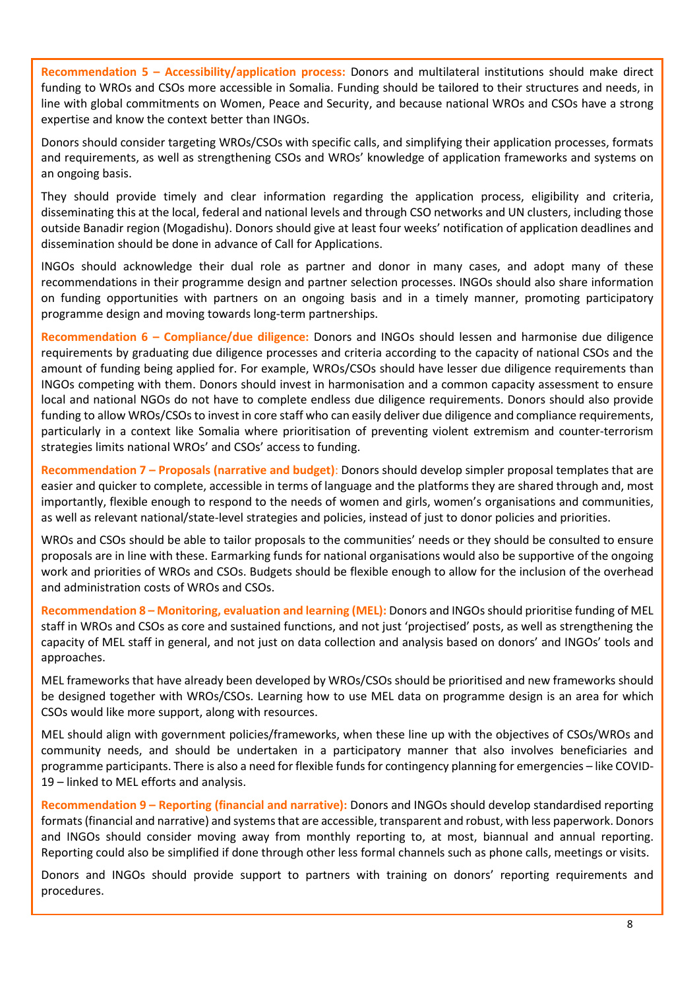**Recommendation 5 – Accessibility/application process:** Donors and multilateral institutions should make direct funding to WROs and CSOs more accessible in Somalia. Funding should be tailored to their structures and needs, in line with global commitments on Women, Peace and Security, and because national WROs and CSOs have a strong expertise and know the context better than INGOs.

Donors should consider targeting WROs/CSOs with specific calls, and simplifying their application processes, formats and requirements, as well as strengthening CSOs and WROs' knowledge of application frameworks and systems on an ongoing basis.

They should provide timely and clear information regarding the application process, eligibility and criteria, disseminating this at the local, federal and national levels and through CSO networks and UN clusters, including those outside Banadir region (Mogadishu). Donors should give at least four weeks' notification of application deadlines and dissemination should be done in advance of Call for Applications.

INGOs should acknowledge their dual role as partner and donor in many cases, and adopt many of these recommendations in their programme design and partner selection processes. INGOs should also share information on funding opportunities with partners on an ongoing basis and in a timely manner, promoting participatory programme design and moving towards long-term partnerships.

**Recommendation 6 – Compliance/due diligence:** Donors and INGOs should lessen and harmonise due diligence requirements by graduating due diligence processes and criteria according to the capacity of national CSOs and the amount of funding being applied for. For example, WROs/CSOs should have lesser due diligence requirements than INGOs competing with them. Donors should invest in harmonisation and a common capacity assessment to ensure local and national NGOs do not have to complete endless due diligence requirements. Donors should also provide funding to allow WROs/CSOs to invest in core staff who can easily deliver due diligence and compliance requirements, particularly in a context like Somalia where prioritisation of preventing violent extremism and counter-terrorism strategies limits national WROs' and CSOs' access to funding.

**Recommendation 7 – Proposals (narrative and budget)**: Donors should develop simpler proposal templates that are easier and quicker to complete, accessible in terms of language and the platforms they are shared through and, most importantly, flexible enough to respond to the needs of women and girls, women's organisations and communities, as well as relevant national/state-level strategies and policies, instead of just to donor policies and priorities.

WROs and CSOs should be able to tailor proposals to the communities' needs or they should be consulted to ensure proposals are in line with these. Earmarking funds for national organisations would also be supportive of the ongoing work and priorities of WROs and CSOs. Budgets should be flexible enough to allow for the inclusion of the overhead and administration costs of WROs and CSOs.

**Recommendation 8 – Monitoring, evaluation and learning (MEL):** Donors and INGOs should prioritise funding of MEL staff in WROs and CSOs as core and sustained functions, and not just 'projectised' posts, as well as strengthening the capacity of MEL staff in general, and not just on data collection and analysis based on donors' and INGOs' tools and approaches.

MEL frameworks that have already been developed by WROs/CSOs should be prioritised and new frameworks should be designed together with WROs/CSOs. Learning how to use MEL data on programme design is an area for which CSOs would like more support, along with resources.

MEL should align with government policies/frameworks, when these line up with the objectives of CSOs/WROs and community needs, and should be undertaken in a participatory manner that also involves beneficiaries and programme participants. There is also a need for flexible funds for contingency planning for emergencies – like COVID-19 – linked to MEL efforts and analysis.

**Recommendation 9 – Reporting (financial and narrative):** Donors and INGOs should develop standardised reporting formats (financial and narrative) and systems that are accessible, transparent and robust, with less paperwork. Donors and INGOs should consider moving away from monthly reporting to, at most, biannual and annual reporting. Reporting could also be simplified if done through other less formal channels such as phone calls, meetings or visits.

Donors and INGOs should provide support to partners with training on donors' reporting requirements and procedures.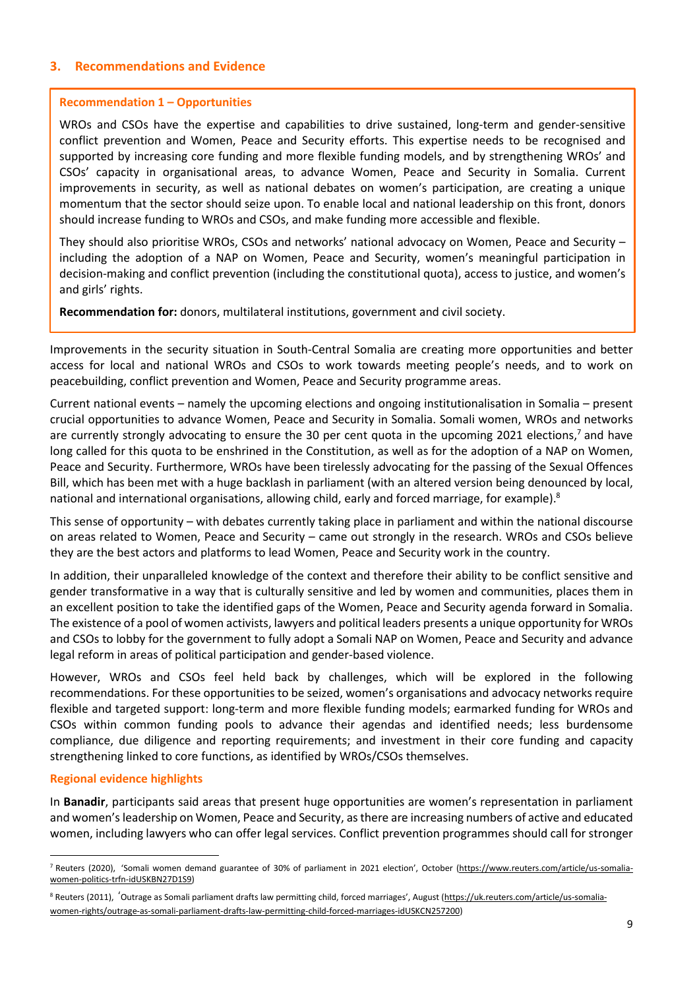# **3. Recommendations and Evidence**

#### **Recommendation 1 – Opportunities**

WROs and CSOs have the expertise and capabilities to drive sustained, long-term and gender-sensitive conflict prevention and Women, Peace and Security efforts. This expertise needs to be recognised and supported by increasing core funding and more flexible funding models, and by strengthening WROs' and CSOs' capacity in organisational areas, to advance Women, Peace and Security in Somalia. Current improvements in security, as well as national debates on women's participation, are creating a unique momentum that the sector should seize upon. To enable local and national leadership on this front, donors should increase funding to WROs and CSOs, and make funding more accessible and flexible.

They should also prioritise WROs, CSOs and networks' national advocacy on Women, Peace and Security – including the adoption of a NAP on Women, Peace and Security, women's meaningful participation in decision-making and conflict prevention (including the constitutional quota), access to justice, and women's and girls' rights.

**Recommendation for:** donors, multilateral institutions, government and civil society.

Improvements in the security situation in South-Central Somalia are creating more opportunities and better access for local and national WROs and CSOs to work towards meeting people's needs, and to work on peacebuilding, conflict prevention and Women, Peace and Security programme areas.

Current national events – namely the upcoming elections and ongoing institutionalisation in Somalia – present crucial opportunities to advance Women, Peace and Security in Somalia. Somali women, WROs and networks are currently strongly advocating to ensure the 30 per cent quota in the upcoming 2021 elections,<sup>7</sup> and have long called for this quota to be enshrined in the Constitution, as well as for the adoption of a NAP on Women, Peace and Security. Furthermore, WROs have been tirelessly advocating for the passing of the Sexual Offences Bill, which has been met with a huge backlash in parliament (with an altered version being denounced by local, national and international organisations, allowing child, early and forced marriage, for example).<sup>8</sup>

This sense of opportunity – with debates currently taking place in parliament and within the national discourse on areas related to Women, Peace and Security – came out strongly in the research. WROs and CSOs believe they are the best actors and platforms to lead Women, Peace and Security work in the country.

In addition, their unparalleled knowledge of the context and therefore their ability to be conflict sensitive and gender transformative in a way that is culturally sensitive and led by women and communities, places them in an excellent position to take the identified gaps of the Women, Peace and Security agenda forward in Somalia. The existence of a pool of women activists, lawyers and political leaders presents a unique opportunity for WROs and CSOs to lobby for the government to fully adopt a Somali NAP on Women, Peace and Security and advance legal reform in areas of political participation and gender-based violence.

However, WROs and CSOs feel held back by challenges, which will be explored in the following recommendations. For these opportunities to be seized, women's organisations and advocacy networks require flexible and targeted support: long-term and more flexible funding models; earmarked funding for WROs and CSOs within common funding pools to advance their agendas and identified needs; less burdensome compliance, due diligence and reporting requirements; and investment in their core funding and capacity strengthening linked to core functions, as identified by WROs/CSOs themselves.

#### **Regional evidence highlights**

 $\overline{a}$ 

In **Banadir**, participants said areas that present huge opportunities are women's representation in parliament and women'sleadership on Women, Peace and Security, asthere are increasing numbers of active and educated women, including lawyers who can offer legal services. Conflict prevention programmes should call for stronger

<sup>7</sup> Reuters (2020), 'Somali women demand guarantee of 30% of parliament in 2021 election', October [\(https://www.reuters.com/article/us-somalia](https://www.reuters.com/article/us-somalia-women-politics-trfn-idUSKBN27D1S9)[women-politics-trfn-idUSKBN27D1S9\)](https://www.reuters.com/article/us-somalia-women-politics-trfn-idUSKBN27D1S9)

<sup>8</sup> Reuters (2011), 'Outrage as Somali parliament drafts law permitting child, forced marriages', August ([https://uk.reuters.com/article/us-somalia](https://uk.reuters.com/article/us-somalia-women-rights/outrage-as-somali-parliament-drafts-law-permitting-child-forced-marriages-idUSKCN257200)[women-rights/outrage-as-somali-parliament-drafts-law-permitting-child-forced-marriages-idUSKCN257200\)](https://uk.reuters.com/article/us-somalia-women-rights/outrage-as-somali-parliament-drafts-law-permitting-child-forced-marriages-idUSKCN257200)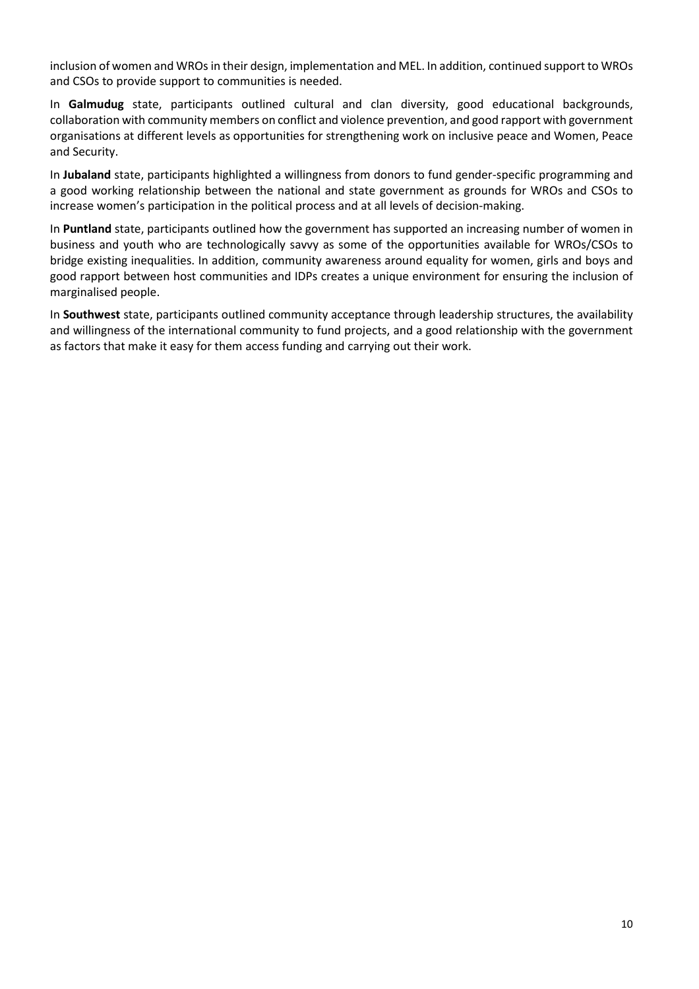inclusion of women and WROs in their design, implementation and MEL. In addition, continued support to WROs and CSOs to provide support to communities is needed.

In **Galmudug** state, participants outlined cultural and clan diversity, good educational backgrounds, collaboration with community members on conflict and violence prevention, and good rapport with government organisations at different levels as opportunities for strengthening work on inclusive peace and Women, Peace and Security.

In **Jubaland** state, participants highlighted a willingness from donors to fund gender-specific programming and a good working relationship between the national and state government as grounds for WROs and CSOs to increase women's participation in the political process and at all levels of decision-making.

In **Puntland** state, participants outlined how the government has supported an increasing number of women in business and youth who are technologically savvy as some of the opportunities available for WROs/CSOs to bridge existing inequalities. In addition, community awareness around equality for women, girls and boys and good rapport between host communities and IDPs creates a unique environment for ensuring the inclusion of marginalised people.

In **Southwest** state, participants outlined community acceptance through leadership structures, the availability and willingness of the international community to fund projects, and a good relationship with the government as factors that make it easy for them access funding and carrying out their work.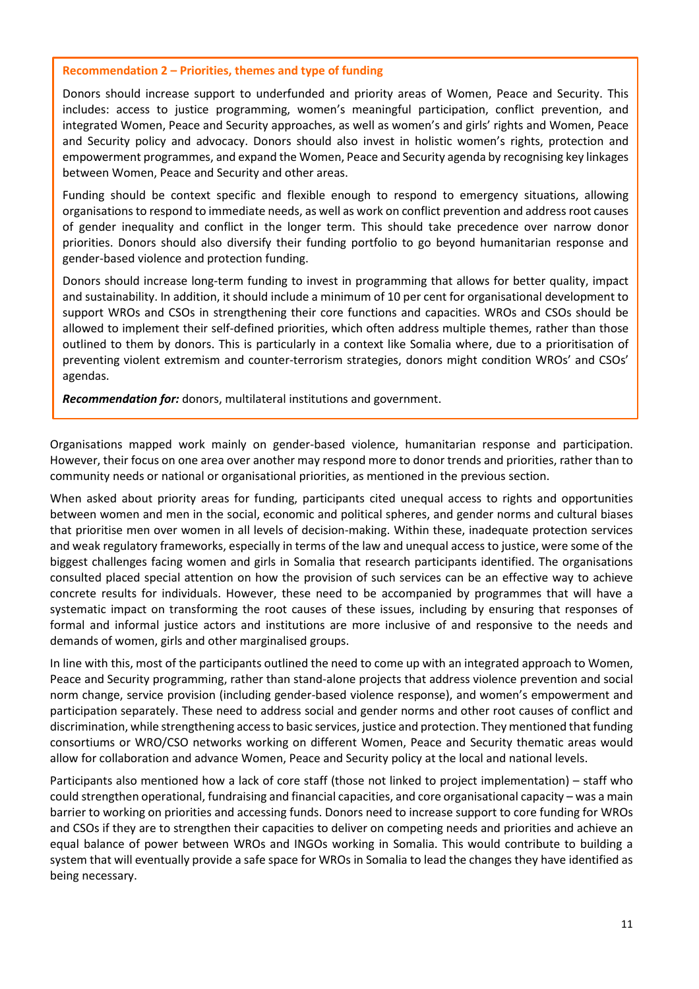#### **Recommendation 2 – Priorities, themes and type of funding**

Donors should increase support to underfunded and priority areas of Women, Peace and Security. This includes: access to justice programming, women's meaningful participation, conflict prevention, and integrated Women, Peace and Security approaches, as well as women's and girls' rights and Women, Peace and Security policy and advocacy. Donors should also invest in holistic women's rights, protection and empowerment programmes, and expand the Women, Peace and Security agenda by recognising key linkages between Women, Peace and Security and other areas.

Funding should be context specific and flexible enough to respond to emergency situations, allowing organisations to respond to immediate needs, as well as work on conflict prevention and address root causes of gender inequality and conflict in the longer term. This should take precedence over narrow donor priorities. Donors should also diversify their funding portfolio to go beyond humanitarian response and gender-based violence and protection funding.

Donors should increase long-term funding to invest in programming that allows for better quality, impact and sustainability. In addition, it should include a minimum of 10 per cent for organisational development to support WROs and CSOs in strengthening their core functions and capacities. WROs and CSOs should be allowed to implement their self-defined priorities, which often address multiple themes, rather than those outlined to them by donors. This is particularly in a context like Somalia where, due to a prioritisation of preventing violent extremism and counter-terrorism strategies, donors might condition WROs' and CSOs' agendas.

*Recommendation for:* donors, multilateral institutions and government.

Organisations mapped work mainly on gender-based violence, humanitarian response and participation. However, their focus on one area over another may respond more to donor trends and priorities, rather than to community needs or national or organisational priorities, as mentioned in the previous section.

When asked about priority areas for funding, participants cited unequal access to rights and opportunities between women and men in the social, economic and political spheres, and gender norms and cultural biases that prioritise men over women in all levels of decision-making. Within these, inadequate protection services and weak regulatory frameworks, especially in terms of the law and unequal access to justice, were some of the biggest challenges facing women and girls in Somalia that research participants identified. The organisations consulted placed special attention on how the provision of such services can be an effective way to achieve concrete results for individuals. However, these need to be accompanied by programmes that will have a systematic impact on transforming the root causes of these issues, including by ensuring that responses of formal and informal justice actors and institutions are more inclusive of and responsive to the needs and demands of women, girls and other marginalised groups.

In line with this, most of the participants outlined the need to come up with an integrated approach to Women, Peace and Security programming, rather than stand-alone projects that address violence prevention and social norm change, service provision (including gender-based violence response), and women's empowerment and participation separately. These need to address social and gender norms and other root causes of conflict and discrimination, while strengthening accessto basic services, justice and protection. They mentioned that funding consortiums or WRO/CSO networks working on different Women, Peace and Security thematic areas would allow for collaboration and advance Women, Peace and Security policy at the local and national levels.

Participants also mentioned how a lack of core staff (those not linked to project implementation) – staff who could strengthen operational, fundraising and financial capacities, and core organisational capacity – was a main barrier to working on priorities and accessing funds. Donors need to increase support to core funding for WROs and CSOs if they are to strengthen their capacities to deliver on competing needs and priorities and achieve an equal balance of power between WROs and INGOs working in Somalia. This would contribute to building a system that will eventually provide a safe space for WROs in Somalia to lead the changes they have identified as being necessary.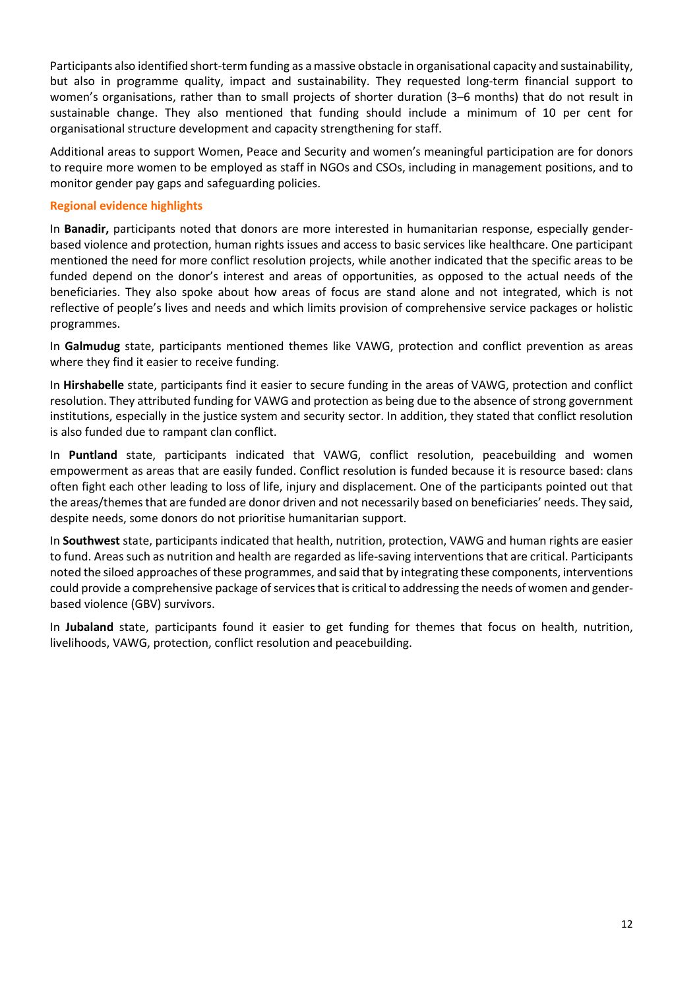Participants also identified short-term funding as a massive obstacle in organisational capacity and sustainability, but also in programme quality, impact and sustainability. They requested long-term financial support to women's organisations, rather than to small projects of shorter duration (3–6 months) that do not result in sustainable change. They also mentioned that funding should include a minimum of 10 per cent for organisational structure development and capacity strengthening for staff.

Additional areas to support Women, Peace and Security and women's meaningful participation are for donors to require more women to be employed as staff in NGOs and CSOs, including in management positions, and to monitor gender pay gaps and safeguarding policies.

# **Regional evidence highlights**

In **Banadir,** participants noted that donors are more interested in humanitarian response, especially genderbased violence and protection, human rights issues and access to basic services like healthcare. One participant mentioned the need for more conflict resolution projects, while another indicated that the specific areas to be funded depend on the donor's interest and areas of opportunities, as opposed to the actual needs of the beneficiaries. They also spoke about how areas of focus are stand alone and not integrated, which is not reflective of people's lives and needs and which limits provision of comprehensive service packages or holistic programmes.

In **Galmudug** state, participants mentioned themes like VAWG, protection and conflict prevention as areas where they find it easier to receive funding.

In **Hirshabelle** state, participants find it easier to secure funding in the areas of VAWG, protection and conflict resolution. They attributed funding for VAWG and protection as being due to the absence of strong government institutions, especially in the justice system and security sector. In addition, they stated that conflict resolution is also funded due to rampant clan conflict.

In **Puntland** state, participants indicated that VAWG, conflict resolution, peacebuilding and women empowerment as areas that are easily funded. Conflict resolution is funded because it is resource based: clans often fight each other leading to loss of life, injury and displacement. One of the participants pointed out that the areas/themesthat are funded are donor driven and not necessarily based on beneficiaries' needs. They said, despite needs, some donors do not prioritise humanitarian support.

In **Southwest** state, participants indicated that health, nutrition, protection, VAWG and human rights are easier to fund. Areas such as nutrition and health are regarded as life-saving interventions that are critical. Participants noted the siloed approaches of these programmes, and said that by integrating these components, interventions could provide a comprehensive package of services that is critical to addressing the needs of women and genderbased violence (GBV) survivors.

In **Jubaland** state, participants found it easier to get funding for themes that focus on health, nutrition, livelihoods, VAWG, protection, conflict resolution and peacebuilding.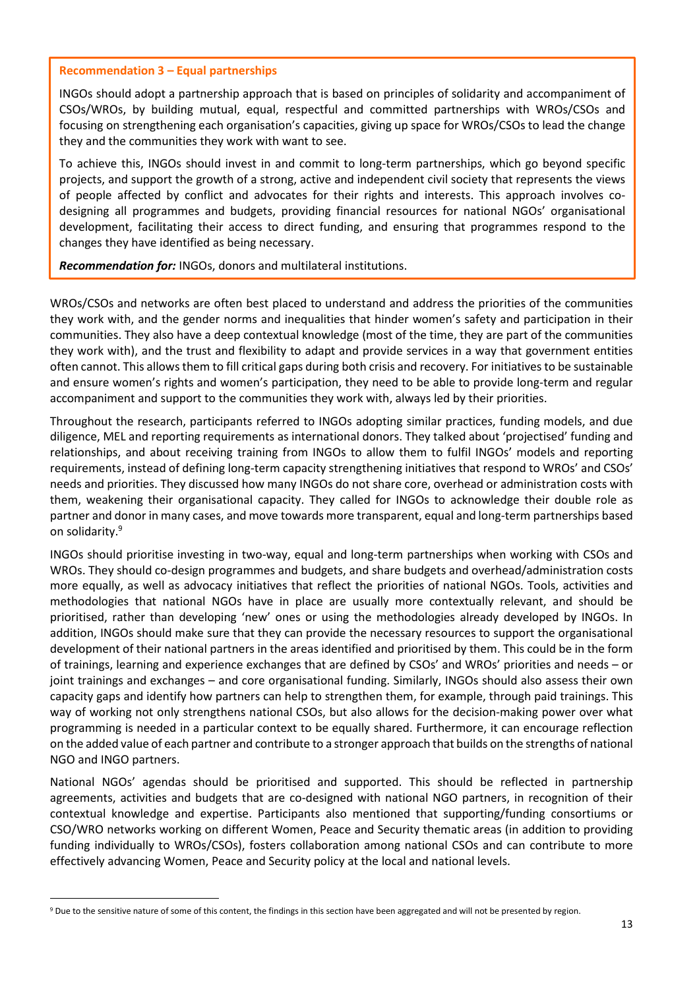#### **Recommendation 3 – Equal partnerships**

INGOs should adopt a partnership approach that is based on principles of solidarity and accompaniment of CSOs/WROs, by building mutual, equal, respectful and committed partnerships with WROs/CSOs and focusing on strengthening each organisation's capacities, giving up space for WROs/CSOs to lead the change they and the communities they work with want to see.

To achieve this, INGOs should invest in and commit to long-term partnerships, which go beyond specific projects, and support the growth of a strong, active and independent civil society that represents the views of people affected by conflict and advocates for their rights and interests. This approach involves codesigning all programmes and budgets, providing financial resources for national NGOs' organisational development, facilitating their access to direct funding, and ensuring that programmes respond to the changes they have identified as being necessary.

*Recommendation for:* INGOs, donors and multilateral institutions.

WROs/CSOs and networks are often best placed to understand and address the priorities of the communities they work with, and the gender norms and inequalities that hinder women's safety and participation in their communities. They also have a deep contextual knowledge (most of the time, they are part of the communities they work with), and the trust and flexibility to adapt and provide services in a way that government entities often cannot. This allowsthem to fill critical gaps during both crisis and recovery. For initiativesto be sustainable and ensure women's rights and women's participation, they need to be able to provide long-term and regular accompaniment and support to the communities they work with, always led by their priorities.

Throughout the research, participants referred to INGOs adopting similar practices, funding models, and due diligence, MEL and reporting requirements as international donors. They talked about 'projectised' funding and relationships, and about receiving training from INGOs to allow them to fulfil INGOs' models and reporting requirements, instead of defining long-term capacity strengthening initiatives that respond to WROs' and CSOs' needs and priorities. They discussed how many INGOs do not share core, overhead or administration costs with them, weakening their organisational capacity. They called for INGOs to acknowledge their double role as partner and donor in many cases, and move towards more transparent, equal and long-term partnerships based on solidarity.<sup>9</sup>

INGOs should prioritise investing in two-way, equal and long-term partnerships when working with CSOs and WROs. They should co-design programmes and budgets, and share budgets and overhead/administration costs more equally, as well as advocacy initiatives that reflect the priorities of national NGOs. Tools, activities and methodologies that national NGOs have in place are usually more contextually relevant, and should be prioritised, rather than developing 'new' ones or using the methodologies already developed by INGOs. In addition, INGOs should make sure that they can provide the necessary resources to support the organisational development of their national partners in the areas identified and prioritised by them. This could be in the form of trainings, learning and experience exchanges that are defined by CSOs' and WROs' priorities and needs – or joint trainings and exchanges – and core organisational funding. Similarly, INGOs should also assess their own capacity gaps and identify how partners can help to strengthen them, for example, through paid trainings. This way of working not only strengthens national CSOs, but also allows for the decision-making power over what programming is needed in a particular context to be equally shared. Furthermore, it can encourage reflection on the added value of each partner and contribute to a stronger approach that builds on the strengths of national NGO and INGO partners.

National NGOs' agendas should be prioritised and supported. This should be reflected in partnership agreements, activities and budgets that are co-designed with national NGO partners, in recognition of their contextual knowledge and expertise. Participants also mentioned that supporting/funding consortiums or CSO/WRO networks working on different Women, Peace and Security thematic areas (in addition to providing funding individually to WROs/CSOs), fosters collaboration among national CSOs and can contribute to more effectively advancing Women, Peace and Security policy at the local and national levels.

 $\overline{a}$ 

<sup>9</sup> Due to the sensitive nature of some of this content, the findings in this section have been aggregated and will not be presented by region.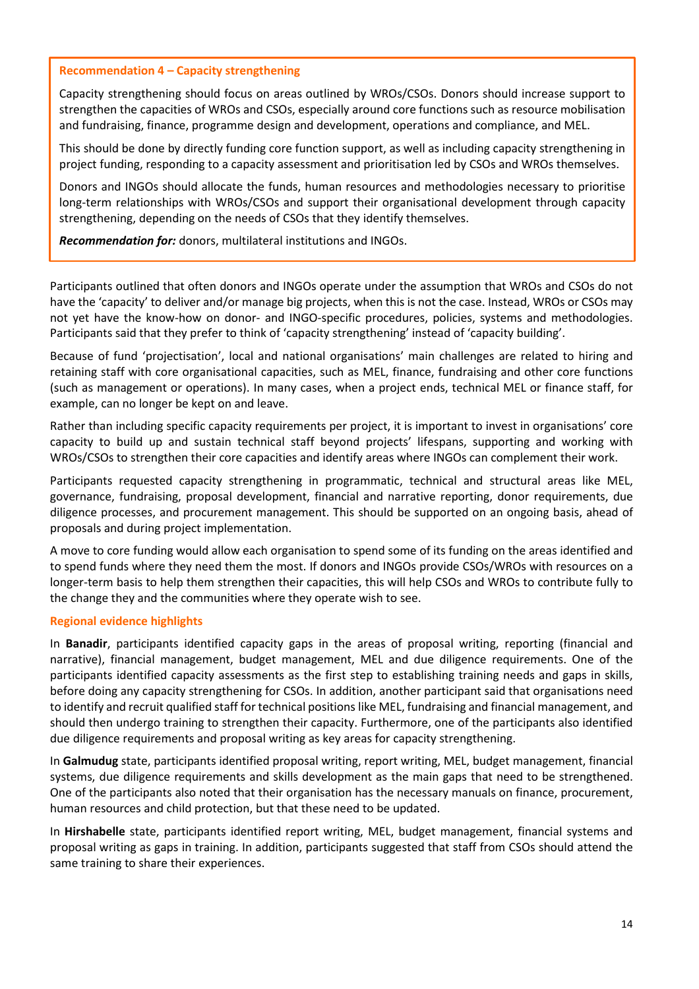#### **Recommendation 4 – Capacity strengthening**

Capacity strengthening should focus on areas outlined by WROs/CSOs. Donors should increase support to strengthen the capacities of WROs and CSOs, especially around core functions such as resource mobilisation and fundraising, finance, programme design and development, operations and compliance, and MEL.

This should be done by directly funding core function support, as well as including capacity strengthening in project funding, responding to a capacity assessment and prioritisation led by CSOs and WROs themselves.

Donors and INGOs should allocate the funds, human resources and methodologies necessary to prioritise long-term relationships with WROs/CSOs and support their organisational development through capacity strengthening, depending on the needs of CSOs that they identify themselves.

*Recommendation for:* donors, multilateral institutions and INGOs.

Participants outlined that often donors and INGOs operate under the assumption that WROs and CSOs do not have the 'capacity' to deliver and/or manage big projects, when this is not the case. Instead, WROs or CSOs may not yet have the know-how on donor- and INGO-specific procedures, policies, systems and methodologies. Participants said that they prefer to think of 'capacity strengthening' instead of 'capacity building'.

Because of fund 'projectisation', local and national organisations' main challenges are related to hiring and retaining staff with core organisational capacities, such as MEL, finance, fundraising and other core functions (such as management or operations). In many cases, when a project ends, technical MEL or finance staff, for example, can no longer be kept on and leave.

Rather than including specific capacity requirements per project, it is important to invest in organisations' core capacity to build up and sustain technical staff beyond projects' lifespans, supporting and working with WROs/CSOs to strengthen their core capacities and identify areas where INGOs can complement their work.

Participants requested capacity strengthening in programmatic, technical and structural areas like MEL, governance, fundraising, proposal development, financial and narrative reporting, donor requirements, due diligence processes, and procurement management. This should be supported on an ongoing basis, ahead of proposals and during project implementation.

A move to core funding would allow each organisation to spend some of its funding on the areas identified and to spend funds where they need them the most. If donors and INGOs provide CSOs/WROs with resources on a longer-term basis to help them strengthen their capacities, this will help CSOs and WROs to contribute fully to the change they and the communities where they operate wish to see.

#### **Regional evidence highlights**

In **Banadir**, participants identified capacity gaps in the areas of proposal writing, reporting (financial and narrative), financial management, budget management, MEL and due diligence requirements. One of the participants identified capacity assessments as the first step to establishing training needs and gaps in skills, before doing any capacity strengthening for CSOs. In addition, another participant said that organisations need to identify and recruit qualified staff for technical positions like MEL, fundraising and financial management, and should then undergo training to strengthen their capacity. Furthermore, one of the participants also identified due diligence requirements and proposal writing as key areas for capacity strengthening.

In **Galmudug** state, participants identified proposal writing, report writing, MEL, budget management, financial systems, due diligence requirements and skills development as the main gaps that need to be strengthened. One of the participants also noted that their organisation has the necessary manuals on finance, procurement, human resources and child protection, but that these need to be updated.

In **Hirshabelle** state, participants identified report writing, MEL, budget management, financial systems and proposal writing as gaps in training. In addition, participants suggested that staff from CSOs should attend the same training to share their experiences.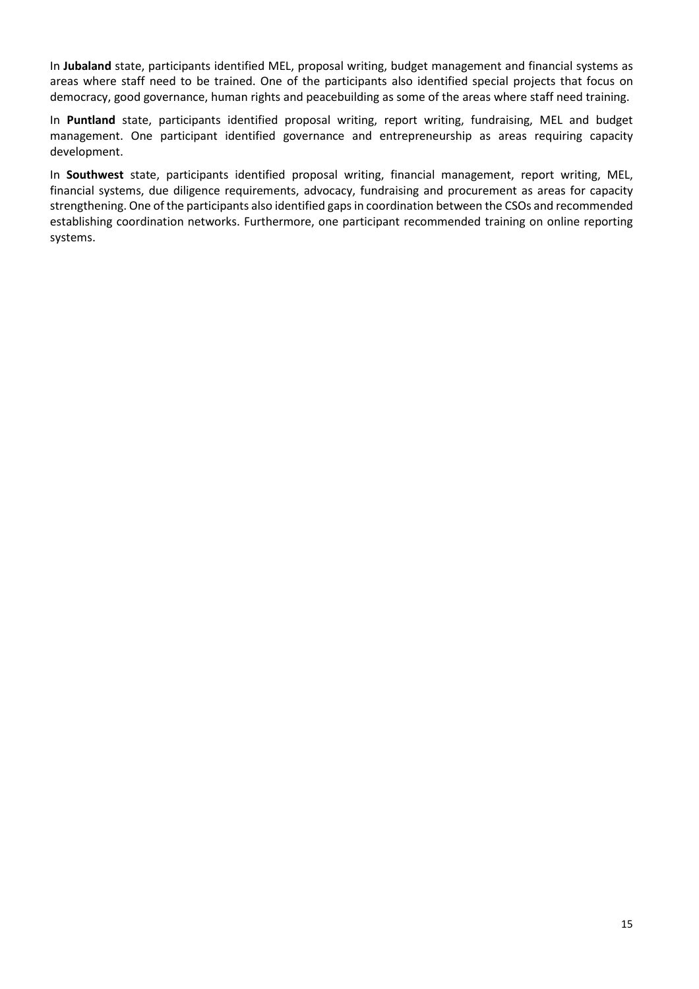In **Jubaland** state, participants identified MEL, proposal writing, budget management and financial systems as areas where staff need to be trained. One of the participants also identified special projects that focus on democracy, good governance, human rights and peacebuilding as some of the areas where staff need training.

In **Puntland** state, participants identified proposal writing, report writing, fundraising, MEL and budget management. One participant identified governance and entrepreneurship as areas requiring capacity development.

In **Southwest** state, participants identified proposal writing, financial management, report writing, MEL, financial systems, due diligence requirements, advocacy, fundraising and procurement as areas for capacity strengthening. One of the participants also identified gapsin coordination between the CSOs and recommended establishing coordination networks. Furthermore, one participant recommended training on online reporting systems.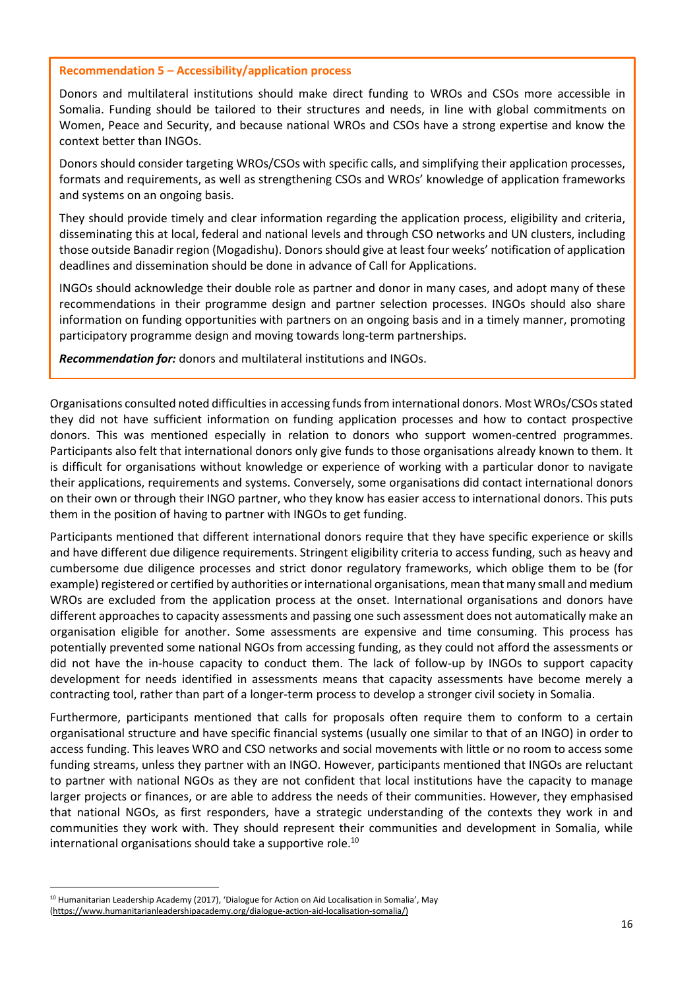#### **Recommendation 5 – Accessibility/application process**

Donors and multilateral institutions should make direct funding to WROs and CSOs more accessible in Somalia. Funding should be tailored to their structures and needs, in line with global commitments on Women, Peace and Security, and because national WROs and CSOs have a strong expertise and know the context better than INGOs.

Donors should consider targeting WROs/CSOs with specific calls, and simplifying their application processes, formats and requirements, as well as strengthening CSOs and WROs' knowledge of application frameworks and systems on an ongoing basis.

They should provide timely and clear information regarding the application process, eligibility and criteria, disseminating this at local, federal and national levels and through CSO networks and UN clusters, including those outside Banadir region (Mogadishu). Donorsshould give at least four weeks' notification of application deadlines and dissemination should be done in advance of Call for Applications.

INGOs should acknowledge their double role as partner and donor in many cases, and adopt many of these recommendations in their programme design and partner selection processes. INGOs should also share information on funding opportunities with partners on an ongoing basis and in a timely manner, promoting participatory programme design and moving towards long-term partnerships.

*Recommendation for:* donors and multilateral institutions and INGOs.

Organisations consulted noted difficulties in accessing funds from international donors. Most WROs/CSOs stated they did not have sufficient information on funding application processes and how to contact prospective donors. This was mentioned especially in relation to donors who support women-centred programmes. Participants also felt that international donors only give funds to those organisations already known to them. It is difficult for organisations without knowledge or experience of working with a particular donor to navigate their applications, requirements and systems. Conversely, some organisations did contact international donors on their own or through their INGO partner, who they know has easier access to international donors. This puts them in the position of having to partner with INGOs to get funding.

Participants mentioned that different international donors require that they have specific experience or skills and have different due diligence requirements. Stringent eligibility criteria to access funding, such as heavy and cumbersome due diligence processes and strict donor regulatory frameworks, which oblige them to be (for example) registered or certified by authorities orinternational organisations, mean that many small and medium WROs are excluded from the application process at the onset. International organisations and donors have different approaches to capacity assessments and passing one such assessment does not automatically make an organisation eligible for another. Some assessments are expensive and time consuming. This process has potentially prevented some national NGOs from accessing funding, as they could not afford the assessments or did not have the in-house capacity to conduct them. The lack of follow-up by INGOs to support capacity development for needs identified in assessments means that capacity assessments have become merely a contracting tool, rather than part of a longer-term process to develop a stronger civil society in Somalia.

Furthermore, participants mentioned that calls for proposals often require them to conform to a certain organisational structure and have specific financial systems (usually one similar to that of an INGO) in order to access funding. This leaves WRO and CSO networks and social movements with little or no room to access some funding streams, unless they partner with an INGO. However, participants mentioned that INGOs are reluctant to partner with national NGOs as they are not confident that local institutions have the capacity to manage larger projects or finances, or are able to address the needs of their communities. However, they emphasised that national NGOs, as first responders, have a strategic understanding of the contexts they work in and communities they work with. They should represent their communities and development in Somalia, while international organisations should take a supportive role.<sup>10</sup>

 $\overline{a}$ 

<sup>10</sup> Humanitarian Leadership Academy (2017), 'Dialogue for Action on Aid Localisation in Somalia', May (https://www.humanitarianleadershipacademy.org/dialogue-action-aid-localisation-somalia/)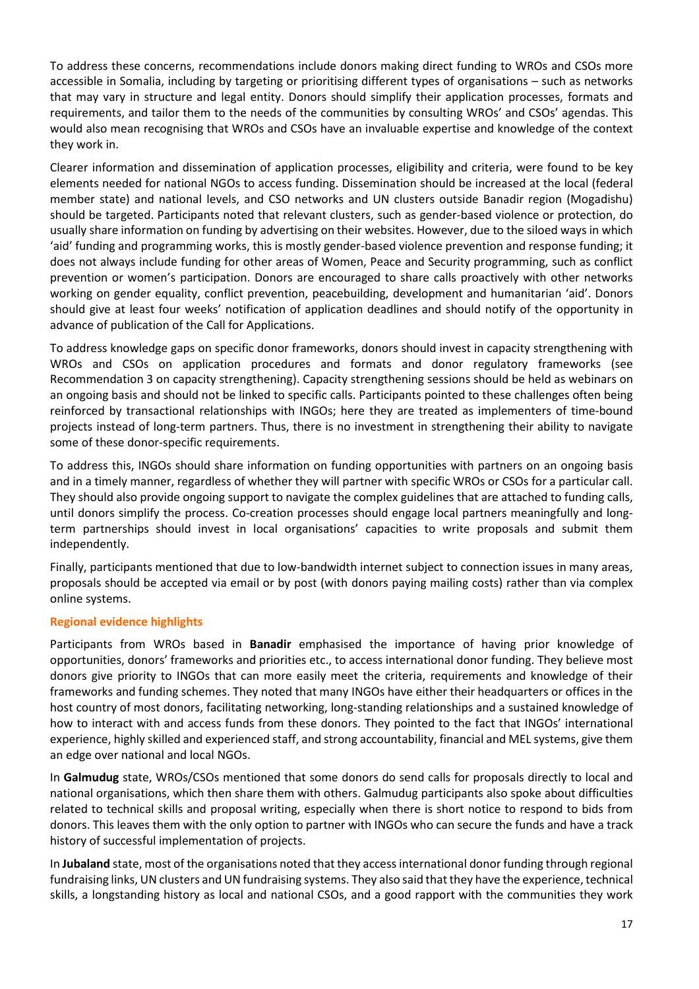To address these concerns, recommendations include donors making direct funding to WROs and CSOs more accessible in Somalia, including by targeting or prioritising different types of organisations – such as networks that may vary in structure and legal entity. Donors should simplify their application processes, formats and requirements, and tailor them to the needs of the communities by consulting WROs' and CSOs' agendas. This would also mean recognising that WROs and CSOs have an invaluable expertise and knowledge of the context they work in.

Clearer information and dissemination of application processes, eligibility and criteria, were found to be key elements needed for national NGOs to access funding. Dissemination should be increased at the local (federal member state) and national levels, and CSO networks and UN clusters outside Banadir region (Mogadishu) should be targeted. Participants noted that relevant clusters, such as gender-based violence or protection, do usually share information on funding by advertising on their websites. However, due to the siloed ways in which 'aid' funding and programming works, this is mostly gender-based violence prevention and response funding; it does not always include funding for other areas of Women, Peace and Security programming, such as conflict prevention or women's participation. Donors are encouraged to share calls proactively with other networks working on gender equality, conflict prevention, peacebuilding, development and humanitarian 'aid'. Donors should give at least four weeks' notification of application deadlines and should notify of the opportunity in advance of publication of the Call for Applications.

To address knowledge gaps on specific donor frameworks, donors should invest in capacity strengthening with WROs and CSOs on application procedures and formats and donor regulatory frameworks (see Recommendation 3 on capacity strengthening). Capacity strengthening sessions should be held as webinars on an ongoing basis and should not be linked to specific calls. Participants pointed to these challenges often being reinforced by transactional relationships with INGOs; here they are treated as implementers of time-bound projects instead of long-term partners. Thus, there is no investment in strengthening their ability to navigate some of these donor-specific requirements.

To address this, INGOs should share information on funding opportunities with partners on an ongoing basis and in a timely manner, regardless of whether they will partner with specific WROs or CSOs for a particular call. They should also provide ongoing support to navigate the complex guidelines that are attached to funding calls, until donors simplify the process. Co-creation processes should engage local partners meaningfully and longterm partnerships should invest in local organisations' capacities to write proposals and submit them independently.

Finally, participants mentioned that due to low-bandwidth internet subject to connection issues in many areas, proposals should be accepted via email or by post (with donors paying mailing costs) rather than via complex online systems.

# **Regional evidence highlights**

Participants from WROs based in **Banadir** emphasised the importance of having prior knowledge of opportunities, donors' frameworks and priorities etc., to access international donor funding. They believe most donors give priority to INGOs that can more easily meet the criteria, requirements and knowledge of their frameworks and funding schemes. They noted that many INGOs have either their headquarters or offices in the host country of most donors, facilitating networking, long-standing relationships and a sustained knowledge of how to interact with and access funds from these donors. They pointed to the fact that INGOs' international experience, highly skilled and experienced staff, and strong accountability, financial and MEL systems, give them an edge over national and local NGOs.

In **Galmudug** state, WROs/CSOs mentioned that some donors do send calls for proposals directly to local and national organisations, which then share them with others. Galmudug participants also spoke about difficulties related to technical skills and proposal writing, especially when there is short notice to respond to bids from donors. This leaves them with the only option to partner with INGOs who can secure the funds and have a track history of successful implementation of projects.

In **Jubaland** state, most of the organisations noted that they accessinternational donor funding through regional fundraising links, UN clusters and UN fundraising systems. They also said that they have the experience, technical skills, a longstanding history as local and national CSOs, and a good rapport with the communities they work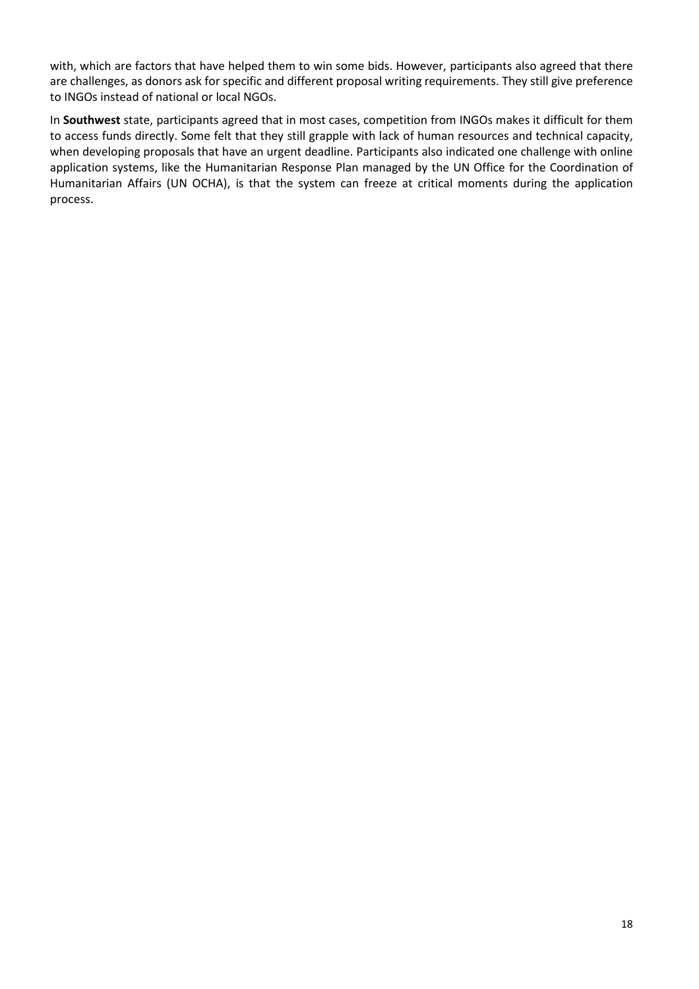with, which are factors that have helped them to win some bids. However, participants also agreed that there are challenges, as donors ask for specific and different proposal writing requirements. They still give preference to INGOs instead of national or local NGOs.

In **Southwest** state, participants agreed that in most cases, competition from INGOs makes it difficult for them to access funds directly. Some felt that they still grapple with lack of human resources and technical capacity, when developing proposals that have an urgent deadline. Participants also indicated one challenge with online application systems, like the Humanitarian Response Plan managed by the UN Office for the Coordination of Humanitarian Affairs (UN OCHA), is that the system can freeze at critical moments during the application process.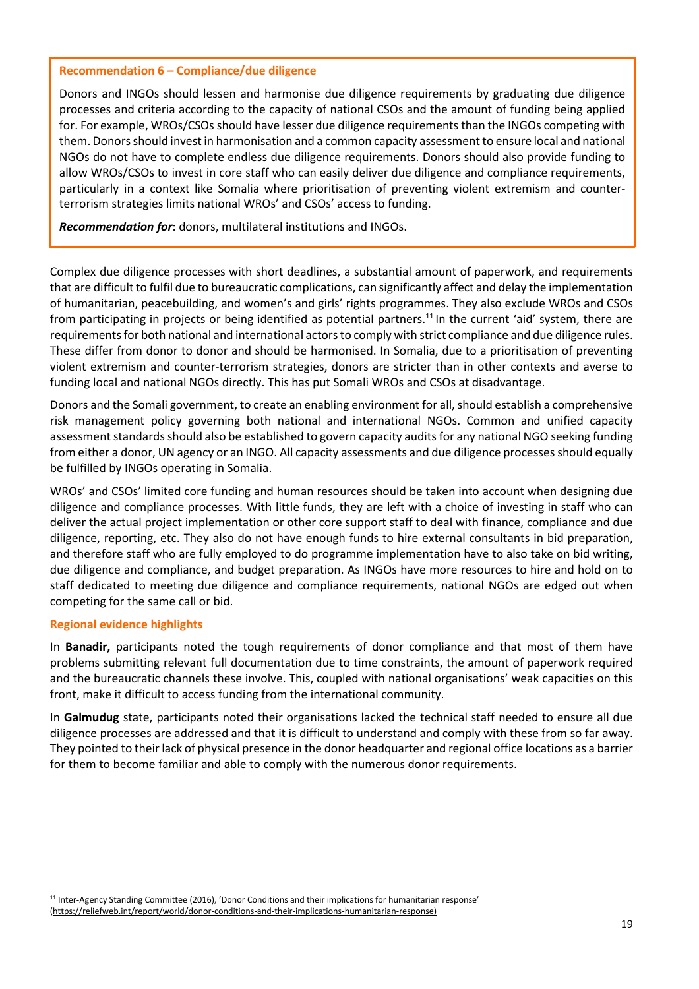#### **Recommendation 6 – Compliance/due diligence**

Donors and INGOs should lessen and harmonise due diligence requirements by graduating due diligence processes and criteria according to the capacity of national CSOs and the amount of funding being applied for. For example, WROs/CSOs should have lesser due diligence requirements than the INGOs competing with them. Donorsshould invest in harmonisation and a common capacity assessment to ensure local and national NGOs do not have to complete endless due diligence requirements. Donors should also provide funding to allow WROs/CSOs to invest in core staff who can easily deliver due diligence and compliance requirements, particularly in a context like Somalia where prioritisation of preventing violent extremism and counterterrorism strategies limits national WROs' and CSOs' access to funding.

*Recommendation for*: donors, multilateral institutions and INGOs.

Complex due diligence processes with short deadlines, a substantial amount of paperwork, and requirements that are difficult to fulfil due to bureaucratic complications, can significantly affect and delay the implementation of humanitarian, peacebuilding, and women's and girls' rights programmes. They also exclude WROs and CSOs from participating in projects or being identified as potential partners.<sup>11</sup> In the current 'aid' system, there are requirements for both national and international actors to comply with strict compliance and due diligence rules. These differ from donor to donor and should be harmonised. In Somalia, due to a prioritisation of preventing violent extremism and counter-terrorism strategies, donors are stricter than in other contexts and averse to funding local and national NGOs directly. This has put Somali WROs and CSOs at disadvantage.

Donors and the Somali government, to create an enabling environment for all, should establish a comprehensive risk management policy governing both national and international NGOs. Common and unified capacity assessment standards should also be established to govern capacity audits for any national NGO seeking funding from either a donor, UN agency or an INGO. All capacity assessments and due diligence processes should equally be fulfilled by INGOs operating in Somalia.

WROs' and CSOs' limited core funding and human resources should be taken into account when designing due diligence and compliance processes. With little funds, they are left with a choice of investing in staff who can deliver the actual project implementation or other core support staff to deal with finance, compliance and due diligence, reporting, etc. They also do not have enough funds to hire external consultants in bid preparation, and therefore staff who are fully employed to do programme implementation have to also take on bid writing, due diligence and compliance, and budget preparation. As INGOs have more resources to hire and hold on to staff dedicated to meeting due diligence and compliance requirements, national NGOs are edged out when competing for the same call or bid.

#### **Regional evidence highlights**

 $\overline{a}$ 

In **Banadir,** participants noted the tough requirements of donor compliance and that most of them have problems submitting relevant full documentation due to time constraints, the amount of paperwork required and the bureaucratic channels these involve. This, coupled with national organisations' weak capacities on this front, make it difficult to access funding from the international community.

In **Galmudug** state, participants noted their organisations lacked the technical staff needed to ensure all due diligence processes are addressed and that it is difficult to understand and comply with these from so far away. They pointed to theirlack of physical presence in the donor headquarter and regional office locations as a barrier for them to become familiar and able to comply with the numerous donor requirements.

<sup>11</sup> Inter-Agency Standing Committee (2016), 'Donor Conditions and their implications for humanitarian response' (https://reliefweb.int/report/world/donor-conditions-and-their-implications-humanitarian-response)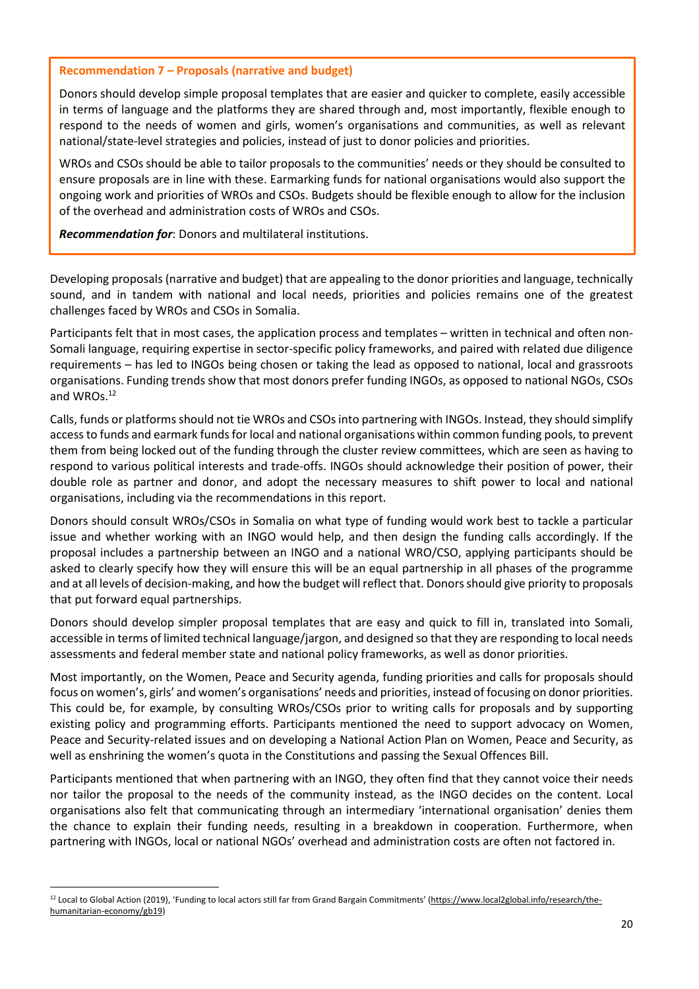#### **Recommendation 7 – Proposals (narrative and budget)**

Donors should develop simple proposal templates that are easier and quicker to complete, easily accessible in terms of language and the platforms they are shared through and, most importantly, flexible enough to respond to the needs of women and girls, women's organisations and communities, as well as relevant national/state-level strategies and policies, instead of just to donor policies and priorities.

WROs and CSOs should be able to tailor proposals to the communities' needs or they should be consulted to ensure proposals are in line with these. Earmarking funds for national organisations would also support the ongoing work and priorities of WROs and CSOs. Budgets should be flexible enough to allow for the inclusion of the overhead and administration costs of WROs and CSOs.

*Recommendation for*: Donors and multilateral institutions.

Developing proposals(narrative and budget) that are appealing to the donor priorities and language, technically sound, and in tandem with national and local needs, priorities and policies remains one of the greatest challenges faced by WROs and CSOs in Somalia.

Participants felt that in most cases, the application process and templates – written in technical and often non-Somali language, requiring expertise in sector-specific policy frameworks, and paired with related due diligence requirements – has led to INGOs being chosen or taking the lead as opposed to national, local and grassroots organisations. Funding trends show that most donors prefer funding INGOs, as opposed to national NGOs, CSOs and WROs.<sup>12</sup>

Calls, funds or platformsshould not tie WROs and CSOsinto partnering with INGOs. Instead, they should simplify access to funds and earmark funds for local and national organisations within common funding pools, to prevent them from being locked out of the funding through the cluster review committees, which are seen as having to respond to various political interests and trade-offs. INGOs should acknowledge their position of power, their double role as partner and donor, and adopt the necessary measures to shift power to local and national organisations, including via the recommendations in this report.

Donors should consult WROs/CSOs in Somalia on what type of funding would work best to tackle a particular issue and whether working with an INGO would help, and then design the funding calls accordingly. If the proposal includes a partnership between an INGO and a national WRO/CSO, applying participants should be asked to clearly specify how they will ensure this will be an equal partnership in all phases of the programme and at all levels of decision-making, and how the budget will reflect that. Donors should give priority to proposals that put forward equal partnerships.

Donors should develop simpler proposal templates that are easy and quick to fill in, translated into Somali, accessible in terms of limited technical language/jargon, and designed so that they are responding to local needs assessments and federal member state and national policy frameworks, as well as donor priorities.

Most importantly, on the Women, Peace and Security agenda, funding priorities and calls for proposals should focus on women's, girls' and women's organisations' needs and priorities, instead of focusing on donor priorities. This could be, for example, by consulting WROs/CSOs prior to writing calls for proposals and by supporting existing policy and programming efforts. Participants mentioned the need to support advocacy on Women, Peace and Security-related issues and on developing a National Action Plan on Women, Peace and Security, as well as enshrining the women's quota in the Constitutions and passing the Sexual Offences Bill.

Participants mentioned that when partnering with an INGO, they often find that they cannot voice their needs nor tailor the proposal to the needs of the community instead, as the INGO decides on the content. Local organisations also felt that communicating through an intermediary 'international organisation' denies them the chance to explain their funding needs, resulting in a breakdown in cooperation. Furthermore, when partnering with INGOs, local or national NGOs' overhead and administration costs are often not factored in.

 $\overline{a}$ 

<sup>12</sup> Local to Global Action (2019), 'Funding to local actors still far from Grand Bargain Commitments' (https://www.local2global.info/research/thehumanitarian-economy/gb19)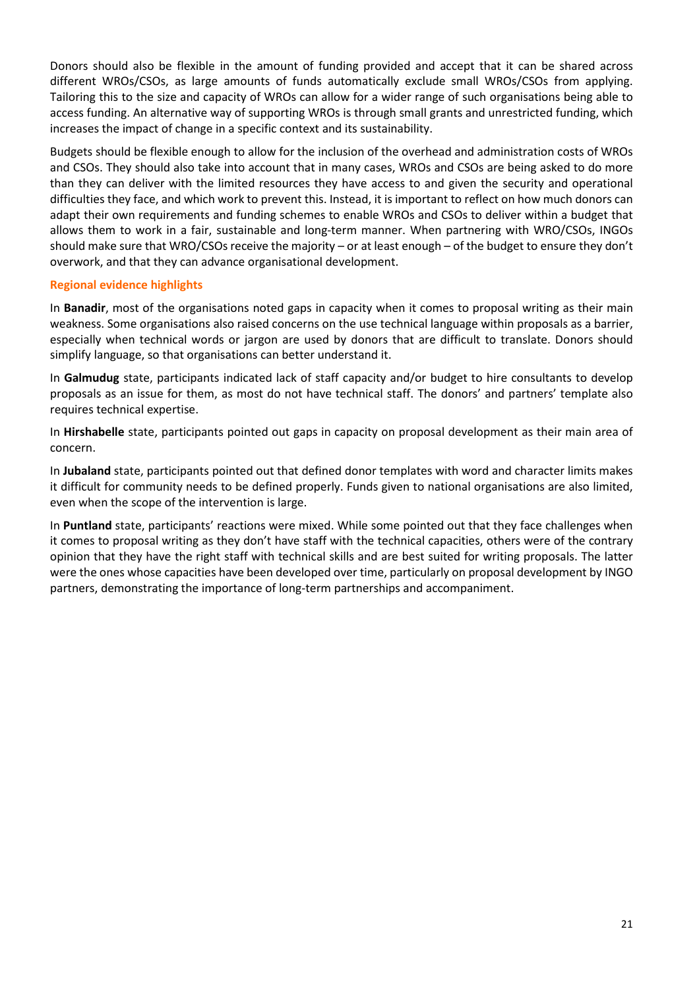Donors should also be flexible in the amount of funding provided and accept that it can be shared across different WROs/CSOs, as large amounts of funds automatically exclude small WROs/CSOs from applying. Tailoring this to the size and capacity of WROs can allow for a wider range of such organisations being able to access funding. An alternative way of supporting WROs is through small grants and unrestricted funding, which increases the impact of change in a specific context and its sustainability.

Budgets should be flexible enough to allow for the inclusion of the overhead and administration costs of WROs and CSOs. They should also take into account that in many cases, WROs and CSOs are being asked to do more than they can deliver with the limited resources they have access to and given the security and operational difficulties they face, and which work to prevent this. Instead, it is important to reflect on how much donors can adapt their own requirements and funding schemes to enable WROs and CSOs to deliver within a budget that allows them to work in a fair, sustainable and long-term manner. When partnering with WRO/CSOs, INGOs should make sure that WRO/CSOs receive the majority – or at least enough – of the budget to ensure they don't overwork, and that they can advance organisational development.

# **Regional evidence highlights**

In **Banadir**, most of the organisations noted gaps in capacity when it comes to proposal writing as their main weakness. Some organisations also raised concerns on the use technical language within proposals as a barrier, especially when technical words or jargon are used by donors that are difficult to translate. Donors should simplify language, so that organisations can better understand it.

In **Galmudug** state, participants indicated lack of staff capacity and/or budget to hire consultants to develop proposals as an issue for them, as most do not have technical staff. The donors' and partners' template also requires technical expertise.

In **Hirshabelle** state, participants pointed out gaps in capacity on proposal development as their main area of concern.

In **Jubaland** state, participants pointed out that defined donor templates with word and character limits makes it difficult for community needs to be defined properly. Funds given to national organisations are also limited, even when the scope of the intervention is large.

In **Puntland** state, participants' reactions were mixed. While some pointed out that they face challenges when it comes to proposal writing as they don't have staff with the technical capacities, others were of the contrary opinion that they have the right staff with technical skills and are best suited for writing proposals. The latter were the ones whose capacities have been developed over time, particularly on proposal development by INGO partners, demonstrating the importance of long-term partnerships and accompaniment.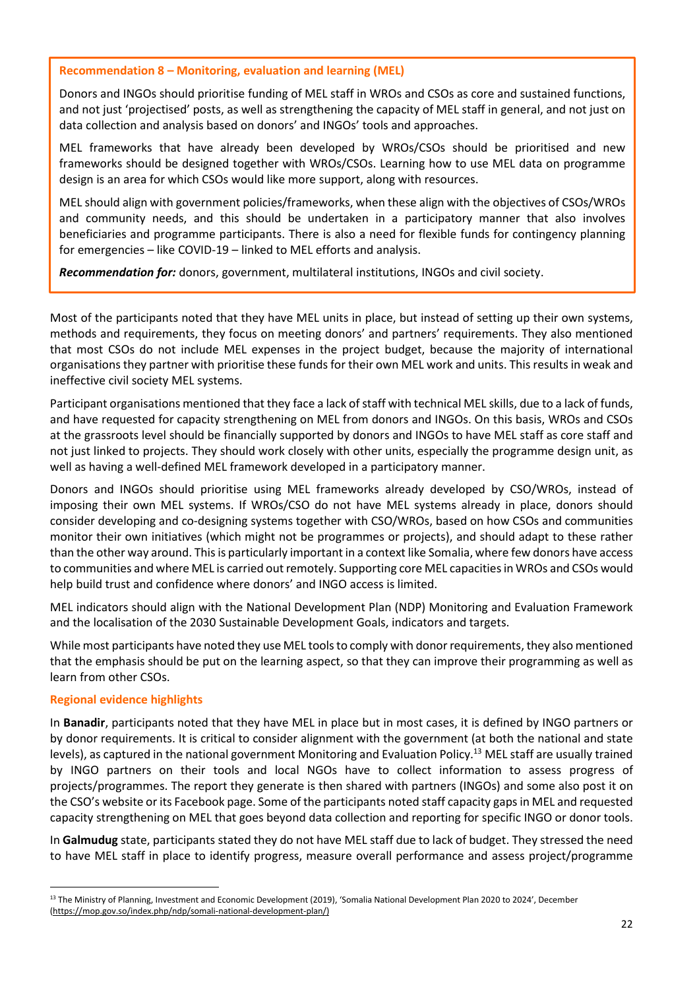**Recommendation 8 – Monitoring, evaluation and learning (MEL)**

Donors and INGOs should prioritise funding of MEL staff in WROs and CSOs as core and sustained functions, and not just 'projectised' posts, as well as strengthening the capacity of MEL staff in general, and not just on data collection and analysis based on donors' and INGOs' tools and approaches.

MEL frameworks that have already been developed by WROs/CSOs should be prioritised and new frameworks should be designed together with WROs/CSOs. Learning how to use MEL data on programme design is an area for which CSOs would like more support, along with resources.

MEL should align with government policies/frameworks, when these align with the objectives of CSOs/WROs and community needs, and this should be undertaken in a participatory manner that also involves beneficiaries and programme participants. There is also a need for flexible funds for contingency planning for emergencies – like COVID-19 – linked to MEL efforts and analysis.

*Recommendation for:* donors, government, multilateral institutions, INGOs and civil society.

Most of the participants noted that they have MEL units in place, but instead of setting up their own systems, methods and requirements, they focus on meeting donors' and partners' requirements. They also mentioned that most CSOs do not include MEL expenses in the project budget, because the majority of international organisations they partner with prioritise these funds for their own MEL work and units. Thisresults in weak and ineffective civil society MEL systems.

Participant organisations mentioned that they face a lack of staff with technical MEL skills, due to a lack of funds, and have requested for capacity strengthening on MEL from donors and INGOs. On this basis, WROs and CSOs at the grassroots level should be financially supported by donors and INGOs to have MEL staff as core staff and not just linked to projects. They should work closely with other units, especially the programme design unit, as well as having a well-defined MEL framework developed in a participatory manner.

Donors and INGOs should prioritise using MEL frameworks already developed by CSO/WROs, instead of imposing their own MEL systems. If WROs/CSO do not have MEL systems already in place, donors should consider developing and co-designing systems together with CSO/WROs, based on how CSOs and communities monitor their own initiatives (which might not be programmes or projects), and should adapt to these rather than the other way around. Thisis particularly important in a context like Somalia, where few donors have access to communities and where MEL is carried out remotely. Supporting core MEL capacitiesin WROs and CSOs would help build trust and confidence where donors' and INGO access is limited.

MEL indicators should align with the National Development Plan (NDP) Monitoring and Evaluation Framework and the localisation of the 2030 Sustainable Development Goals, indicators and targets.

While most participants have noted they use MEL toolsto comply with donorrequirements, they also mentioned that the emphasis should be put on the learning aspect, so that they can improve their programming as well as learn from other CSOs.

#### **Regional evidence highlights**

 $\overline{a}$ 

In **Banadir**, participants noted that they have MEL in place but in most cases, it is defined by INGO partners or by donor requirements. It is critical to consider alignment with the government (at both the national and state levels), as captured in the national government Monitoring and Evaluation Policy.<sup>13</sup> MEL staff are usually trained by INGO partners on their tools and local NGOs have to collect information to assess progress of projects/programmes. The report they generate is then shared with partners (INGOs) and some also post it on the CSO's website or its Facebook page. Some of the participants noted staff capacity gapsin MEL and requested capacity strengthening on MEL that goes beyond data collection and reporting for specific INGO or donor tools.

In **Galmudug** state, participants stated they do not have MEL staff due to lack of budget. They stressed the need to have MEL staff in place to identify progress, measure overall performance and assess project/programme

<sup>13</sup> The Ministry of Planning, Investment and Economic Development (2019), 'Somalia National Development Plan 2020 to 2024', December (https://mop.gov.so/index.php/ndp/somali-national-development-plan/)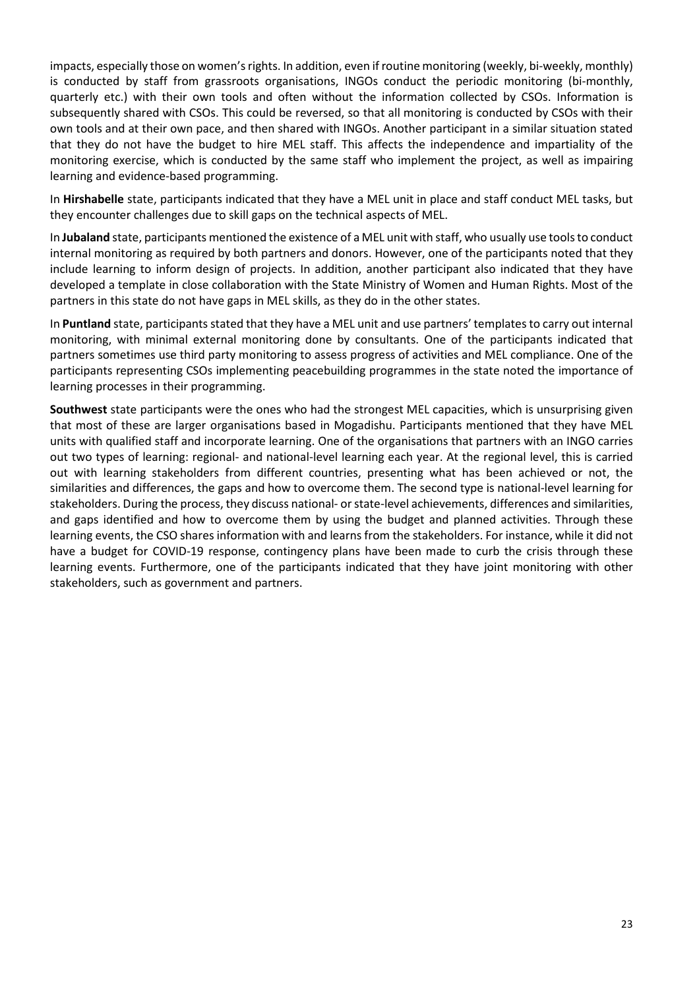impacts, especially those on women's rights. In addition, even if routine monitoring (weekly, bi-weekly, monthly) is conducted by staff from grassroots organisations, INGOs conduct the periodic monitoring (bi-monthly, quarterly etc.) with their own tools and often without the information collected by CSOs. Information is subsequently shared with CSOs. This could be reversed, so that all monitoring is conducted by CSOs with their own tools and at their own pace, and then shared with INGOs. Another participant in a similar situation stated that they do not have the budget to hire MEL staff. This affects the independence and impartiality of the monitoring exercise, which is conducted by the same staff who implement the project, as well as impairing learning and evidence-based programming.

In **Hirshabelle** state, participants indicated that they have a MEL unit in place and staff conduct MEL tasks, but they encounter challenges due to skill gaps on the technical aspects of MEL.

In **Jubaland** state, participants mentioned the existence of a MEL unit with staff, who usually use toolsto conduct internal monitoring as required by both partners and donors. However, one of the participants noted that they include learning to inform design of projects. In addition, another participant also indicated that they have developed a template in close collaboration with the State Ministry of Women and Human Rights. Most of the partners in this state do not have gaps in MEL skills, as they do in the other states.

In Puntland state, participants stated that they have a MEL unit and use partners' templates to carry out internal monitoring, with minimal external monitoring done by consultants. One of the participants indicated that partners sometimes use third party monitoring to assess progress of activities and MEL compliance. One of the participants representing CSOs implementing peacebuilding programmes in the state noted the importance of learning processes in their programming.

**Southwest** state participants were the ones who had the strongest MEL capacities, which is unsurprising given that most of these are larger organisations based in Mogadishu. Participants mentioned that they have MEL units with qualified staff and incorporate learning. One of the organisations that partners with an INGO carries out two types of learning: regional- and national-level learning each year. At the regional level, this is carried out with learning stakeholders from different countries, presenting what has been achieved or not, the similarities and differences, the gaps and how to overcome them. The second type is national-level learning for stakeholders. During the process, they discuss national- or state-level achievements, differences and similarities, and gaps identified and how to overcome them by using the budget and planned activities. Through these learning events, the CSO shares information with and learns from the stakeholders. For instance, while it did not have a budget for COVID-19 response, contingency plans have been made to curb the crisis through these learning events. Furthermore, one of the participants indicated that they have joint monitoring with other stakeholders, such as government and partners.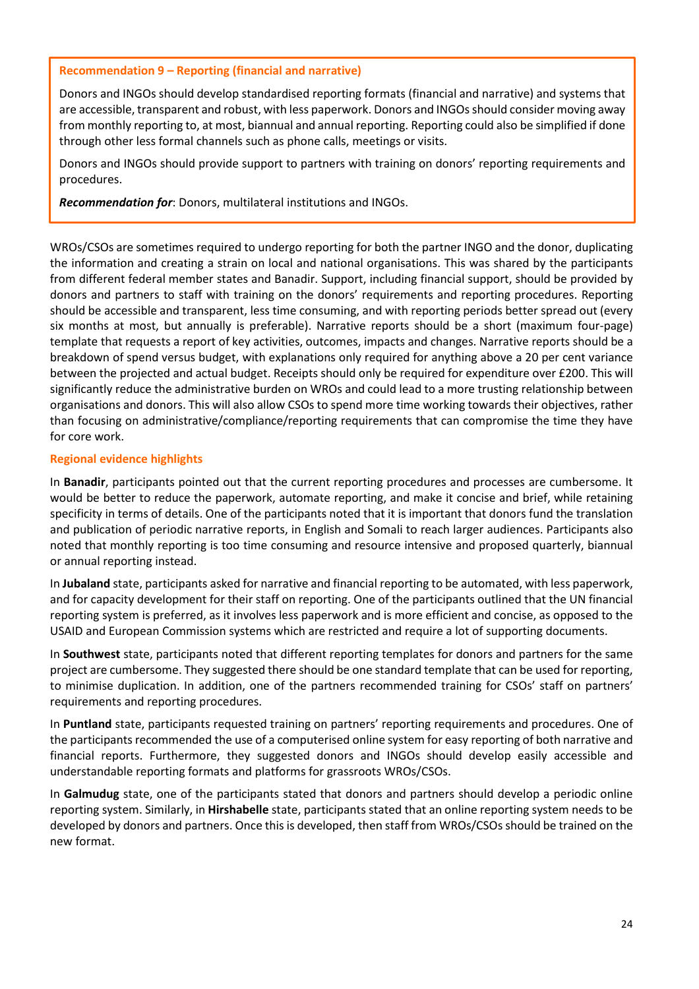#### **Recommendation 9 – Reporting (financial and narrative)**

Donors and INGOs should develop standardised reporting formats (financial and narrative) and systems that are accessible, transparent and robust, with less paperwork. Donors and INGOsshould consider moving away from monthly reporting to, at most, biannual and annual reporting. Reporting could also be simplified if done through other less formal channels such as phone calls, meetings or visits.

Donors and INGOs should provide support to partners with training on donors' reporting requirements and procedures.

*Recommendation for*: Donors, multilateral institutions and INGOs.

WROs/CSOs are sometimes required to undergo reporting for both the partner INGO and the donor, duplicating the information and creating a strain on local and national organisations. This was shared by the participants from different federal member states and Banadir. Support, including financial support, should be provided by donors and partners to staff with training on the donors' requirements and reporting procedures. Reporting should be accessible and transparent, less time consuming, and with reporting periods better spread out (every six months at most, but annually is preferable). Narrative reports should be a short (maximum four-page) template that requests a report of key activities, outcomes, impacts and changes. Narrative reports should be a breakdown of spend versus budget, with explanations only required for anything above a 20 per cent variance between the projected and actual budget. Receipts should only be required for expenditure over £200. This will significantly reduce the administrative burden on WROs and could lead to a more trusting relationship between organisations and donors. This will also allow CSOs to spend more time working towards their objectives, rather than focusing on administrative/compliance/reporting requirements that can compromise the time they have for core work.

#### **Regional evidence highlights**

In **Banadir**, participants pointed out that the current reporting procedures and processes are cumbersome. It would be better to reduce the paperwork, automate reporting, and make it concise and brief, while retaining specificity in terms of details. One of the participants noted that it is important that donors fund the translation and publication of periodic narrative reports, in English and Somali to reach larger audiences. Participants also noted that monthly reporting is too time consuming and resource intensive and proposed quarterly, biannual or annual reporting instead.

In **Jubaland** state, participants asked for narrative and financial reporting to be automated, with less paperwork, and for capacity development for their staff on reporting. One of the participants outlined that the UN financial reporting system is preferred, as it involves less paperwork and is more efficient and concise, as opposed to the USAID and European Commission systems which are restricted and require a lot of supporting documents.

In **Southwest** state, participants noted that different reporting templates for donors and partners for the same project are cumbersome. They suggested there should be one standard template that can be used for reporting, to minimise duplication. In addition, one of the partners recommended training for CSOs' staff on partners' requirements and reporting procedures.

In **Puntland** state, participants requested training on partners' reporting requirements and procedures. One of the participants recommended the use of a computerised online system for easy reporting of both narrative and financial reports. Furthermore, they suggested donors and INGOs should develop easily accessible and understandable reporting formats and platforms for grassroots WROs/CSOs.

In **Galmudug** state, one of the participants stated that donors and partners should develop a periodic online reporting system. Similarly, in **Hirshabelle** state, participants stated that an online reporting system needs to be developed by donors and partners. Once this is developed, then staff from WROs/CSOs should be trained on the new format.